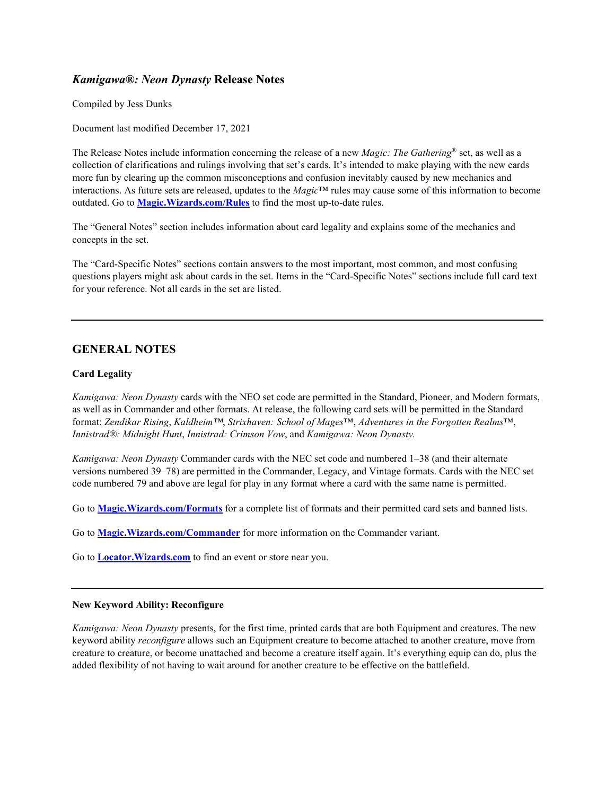# *Kamigawa®: Neon Dynasty* **Release Notes**

Compiled by Jess Dunks

Document last modified December 17, 2021

The Release Notes include information concerning the release of a new *Magic: The Gathering*® set, as well as a collection of clarifications and rulings involving that set's cards. It's intended to make playing with the new cards more fun by clearing up the common misconceptions and confusion inevitably caused by new mechanics and interactions. As future sets are released, updates to the *Magic*™ rules may cause some of this information to become outdated. Go to **[Magic.Wizards.com/Rules](http://magic.wizards.com/rules)** to find the most up-to-date rules.

The "General Notes" section includes information about card legality and explains some of the mechanics and concepts in the set.

The "Card-Specific Notes" sections contain answers to the most important, most common, and most confusing questions players might ask about cards in the set. Items in the "Card-Specific Notes" sections include full card text for your reference. Not all cards in the set are listed.

## **GENERAL NOTES**

## **Card Legality**

*Kamigawa: Neon Dynasty* cards with the NEO set code are permitted in the Standard, Pioneer, and Modern formats, as well as in Commander and other formats. At release, the following card sets will be permitted in the Standard format: *Zendikar Rising*, *Kaldheim™*, *Strixhaven: School of Mages*™, *Adventures in the Forgotten Realms*™, *Innistrad®: Midnight Hunt*, *Innistrad: Crimson Vow*, and *Kamigawa: Neon Dynasty.*

*Kamigawa: Neon Dynasty* Commander cards with the NEC set code and numbered 1–38 (and their alternate versions numbered 39–78) are permitted in the Commander, Legacy, and Vintage formats. Cards with the NEC set code numbered 79 and above are legal for play in any format where a card with the same name is permitted.

Go to **[Magic.Wizards.com/Formats](https://magic.wizards.com/formats)** for a complete list of formats and their permitted card sets and banned lists.

Go to **[Magic.Wizards.com/Commander](https://magic.wizards.com/Commander)** for more information on the Commander variant.

Go to **[Locator.Wizards.com](https://locator.wizards.com/)** to find an event or store near you.

## **New Keyword Ability: Reconfigure**

*Kamigawa: Neon Dynasty* presents, for the first time, printed cards that are both Equipment and creatures. The new keyword ability *reconfigure* allows such an Equipment creature to become attached to another creature, move from creature to creature, or become unattached and become a creature itself again. It's everything equip can do, plus the added flexibility of not having to wait around for another creature to be effective on the battlefield.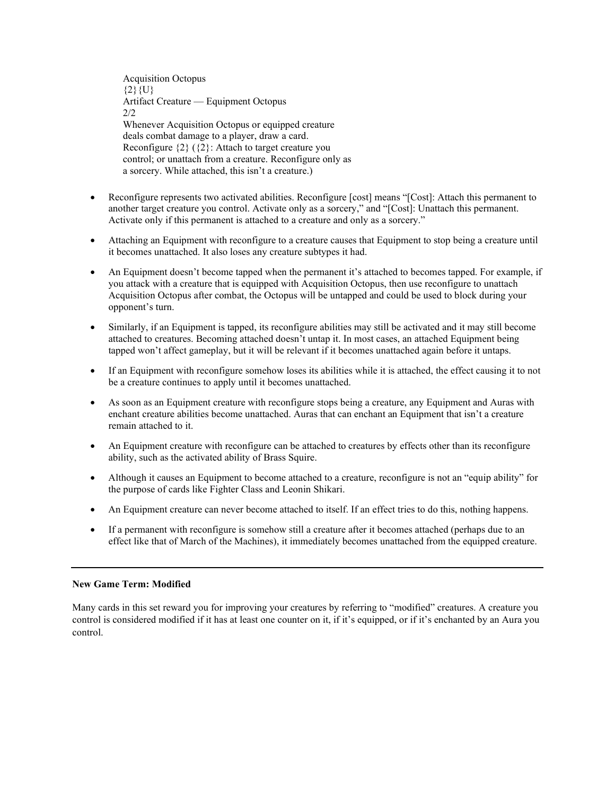Acquisition Octopus  ${2}$ {U} Artifact Creature — Equipment Octopus 2/2 Whenever Acquisition Octopus or equipped creature deals combat damage to a player, draw a card. Reconfigure {2} ({2}: Attach to target creature you control; or unattach from a creature. Reconfigure only as a sorcery. While attached, this isn't a creature.)

- Reconfigure represents two activated abilities. Reconfigure [cost] means "[Cost]: Attach this permanent to another target creature you control. Activate only as a sorcery," and "[Cost]: Unattach this permanent. Activate only if this permanent is attached to a creature and only as a sorcery."
- Attaching an Equipment with reconfigure to a creature causes that Equipment to stop being a creature until it becomes unattached. It also loses any creature subtypes it had.
- An Equipment doesn't become tapped when the permanent it's attached to becomes tapped. For example, if you attack with a creature that is equipped with Acquisition Octopus, then use reconfigure to unattach Acquisition Octopus after combat, the Octopus will be untapped and could be used to block during your opponent's turn.
- Similarly, if an Equipment is tapped, its reconfigure abilities may still be activated and it may still become attached to creatures. Becoming attached doesn't untap it. In most cases, an attached Equipment being tapped won't affect gameplay, but it will be relevant if it becomes unattached again before it untaps.
- If an Equipment with reconfigure somehow loses its abilities while it is attached, the effect causing it to not be a creature continues to apply until it becomes unattached.
- As soon as an Equipment creature with reconfigure stops being a creature, any Equipment and Auras with enchant creature abilities become unattached. Auras that can enchant an Equipment that isn't a creature remain attached to it.
- An Equipment creature with reconfigure can be attached to creatures by effects other than its reconfigure ability, such as the activated ability of Brass Squire.
- Although it causes an Equipment to become attached to a creature, reconfigure is not an "equip ability" for the purpose of cards like Fighter Class and Leonin Shikari.
- An Equipment creature can never become attached to itself. If an effect tries to do this, nothing happens.
- If a permanent with reconfigure is somehow still a creature after it becomes attached (perhaps due to an effect like that of March of the Machines), it immediately becomes unattached from the equipped creature.

#### **New Game Term: Modified**

Many cards in this set reward you for improving your creatures by referring to "modified" creatures. A creature you control is considered modified if it has at least one counter on it, if it's equipped, or if it's enchanted by an Aura you control.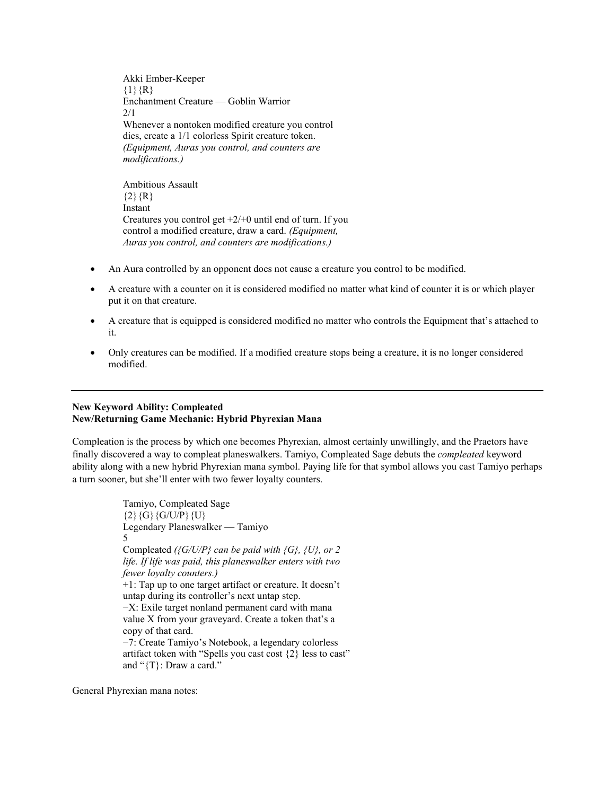Akki Ember-Keeper  ${1}$  ${R}$ Enchantment Creature — Goblin Warrior  $2/1$ Whenever a nontoken modified creature you control dies, create a 1/1 colorless Spirit creature token. *(Equipment, Auras you control, and counters are modifications.)* Ambitious Assault

 ${2}$ {R} Instant Creatures you control get  $+2/+0$  until end of turn. If you control a modified creature, draw a card. *(Equipment, Auras you control, and counters are modifications.)*

- An Aura controlled by an opponent does not cause a creature you control to be modified.
- A creature with a counter on it is considered modified no matter what kind of counter it is or which player put it on that creature.
- A creature that is equipped is considered modified no matter who controls the Equipment that's attached to it.
- Only creatures can be modified. If a modified creature stops being a creature, it is no longer considered modified.

## **New Keyword Ability: Compleated New/Returning Game Mechanic: Hybrid Phyrexian Mana**

Compleation is the process by which one becomes Phyrexian, almost certainly unwillingly, and the Praetors have finally discovered a way to compleat planeswalkers. Tamiyo, Compleated Sage debuts the *compleated* keyword ability along with a new hybrid Phyrexian mana symbol. Paying life for that symbol allows you cast Tamiyo perhaps a turn sooner, but she'll enter with two fewer loyalty counters.

> Tamiyo, Compleated Sage {2}{G}{G/U/P}{U} Legendary Planeswalker — Tamiyo 5 Compleated *({G/U/P} can be paid with {G}, {U}, or 2 life. If life was paid, this planeswalker enters with two fewer loyalty counters.)* +1: Tap up to one target artifact or creature. It doesn't untap during its controller's next untap step. −X: Exile target nonland permanent card with mana value X from your graveyard. Create a token that's a copy of that card. −7: Create Tamiyo's Notebook, a legendary colorless artifact token with "Spells you cast cost {2} less to cast" and "{T}: Draw a card."

General Phyrexian mana notes: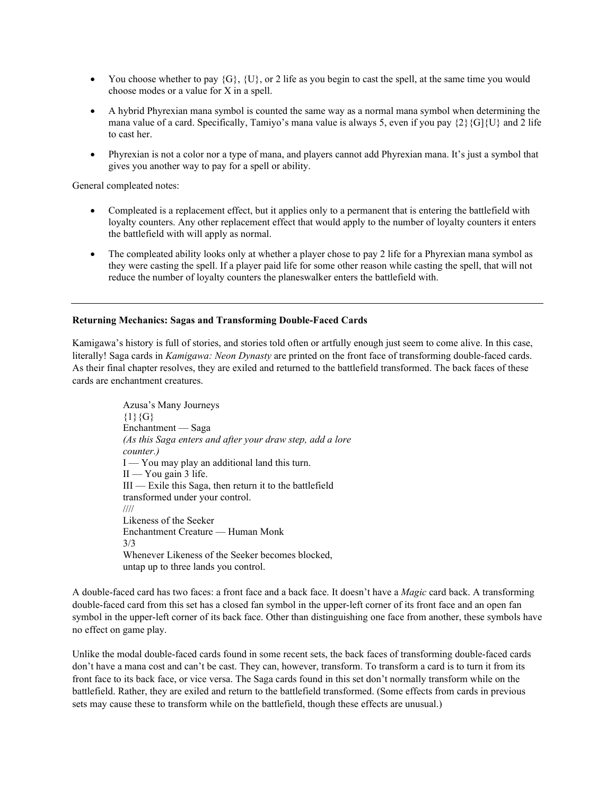- You choose whether to pay  $\{G\}$ ,  $\{U\}$ , or 2 life as you begin to cast the spell, at the same time you would choose modes or a value for X in a spell.
- A hybrid Phyrexian mana symbol is counted the same way as a normal mana symbol when determining the mana value of a card. Specifically, Tamiyo's mana value is always 5, even if you pay  $\{2\}\{G\}\{U\}$  and 2 life to cast her.
- Phyrexian is not a color nor a type of mana, and players cannot add Phyrexian mana. It's just a symbol that gives you another way to pay for a spell or ability.

General compleated notes:

- Compleated is a replacement effect, but it applies only to a permanent that is entering the battlefield with loyalty counters. Any other replacement effect that would apply to the number of loyalty counters it enters the battlefield with will apply as normal.
- The compleated ability looks only at whether a player chose to pay 2 life for a Phyrexian mana symbol as they were casting the spell. If a player paid life for some other reason while casting the spell, that will not reduce the number of loyalty counters the planeswalker enters the battlefield with.

## **Returning Mechanics: Sagas and Transforming Double-Faced Cards**

Kamigawa's history is full of stories, and stories told often or artfully enough just seem to come alive. In this case, literally! Saga cards in *Kamigawa: Neon Dynasty* are printed on the front face of transforming double-faced cards. As their final chapter resolves, they are exiled and returned to the battlefield transformed. The back faces of these cards are enchantment creatures.

> Azusa's Many Journeys  ${1}{G}$ Enchantment — Saga *(As this Saga enters and after your draw step, add a lore counter.)* I — You may play an additional land this turn. II — You gain 3 life. III — Exile this Saga, then return it to the battlefield transformed under your control. //// Likeness of the Seeker Enchantment Creature — Human Monk 3/3 Whenever Likeness of the Seeker becomes blocked, untap up to three lands you control.

A double-faced card has two faces: a front face and a back face. It doesn't have a *Magic* card back. A transforming double-faced card from this set has a closed fan symbol in the upper-left corner of its front face and an open fan symbol in the upper-left corner of its back face. Other than distinguishing one face from another, these symbols have no effect on game play.

Unlike the modal double-faced cards found in some recent sets, the back faces of transforming double-faced cards don't have a mana cost and can't be cast. They can, however, transform. To transform a card is to turn it from its front face to its back face, or vice versa. The Saga cards found in this set don't normally transform while on the battlefield. Rather, they are exiled and return to the battlefield transformed. (Some effects from cards in previous sets may cause these to transform while on the battlefield, though these effects are unusual.)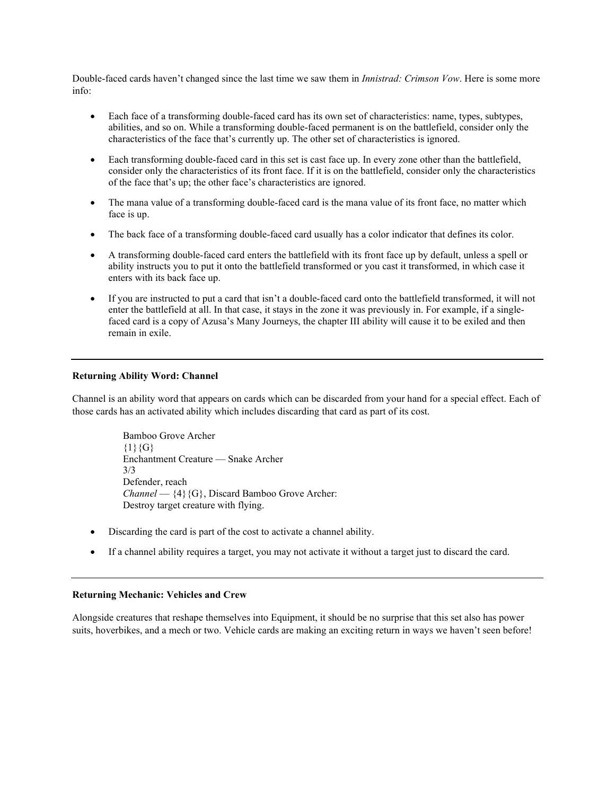Double-faced cards haven't changed since the last time we saw them in *Innistrad: Crimson Vow*. Here is some more info:

- Each face of a transforming double-faced card has its own set of characteristics: name, types, subtypes, abilities, and so on. While a transforming double-faced permanent is on the battlefield, consider only the characteristics of the face that's currently up. The other set of characteristics is ignored.
- Each transforming double-faced card in this set is cast face up. In every zone other than the battlefield, consider only the characteristics of its front face. If it is on the battlefield, consider only the characteristics of the face that's up; the other face's characteristics are ignored.
- The mana value of a transforming double-faced card is the mana value of its front face, no matter which face is up.
- The back face of a transforming double-faced card usually has a color indicator that defines its color.
- A transforming double-faced card enters the battlefield with its front face up by default, unless a spell or ability instructs you to put it onto the battlefield transformed or you cast it transformed, in which case it enters with its back face up.
- If you are instructed to put a card that isn't a double-faced card onto the battlefield transformed, it will not enter the battlefield at all. In that case, it stays in the zone it was previously in. For example, if a singlefaced card is a copy of Azusa's Many Journeys, the chapter III ability will cause it to be exiled and then remain in exile.

#### **Returning Ability Word: Channel**

Channel is an ability word that appears on cards which can be discarded from your hand for a special effect. Each of those cards has an activated ability which includes discarding that card as part of its cost.

> Bamboo Grove Archer  ${1}{G}$ Enchantment Creature — Snake Archer 3/3 Defender, reach *Channel* — {4}{G}, Discard Bamboo Grove Archer: Destroy target creature with flying.

- Discarding the card is part of the cost to activate a channel ability.
- If a channel ability requires a target, you may not activate it without a target just to discard the card.

#### **Returning Mechanic: Vehicles and Crew**

Alongside creatures that reshape themselves into Equipment, it should be no surprise that this set also has power suits, hoverbikes, and a mech or two. Vehicle cards are making an exciting return in ways we haven't seen before!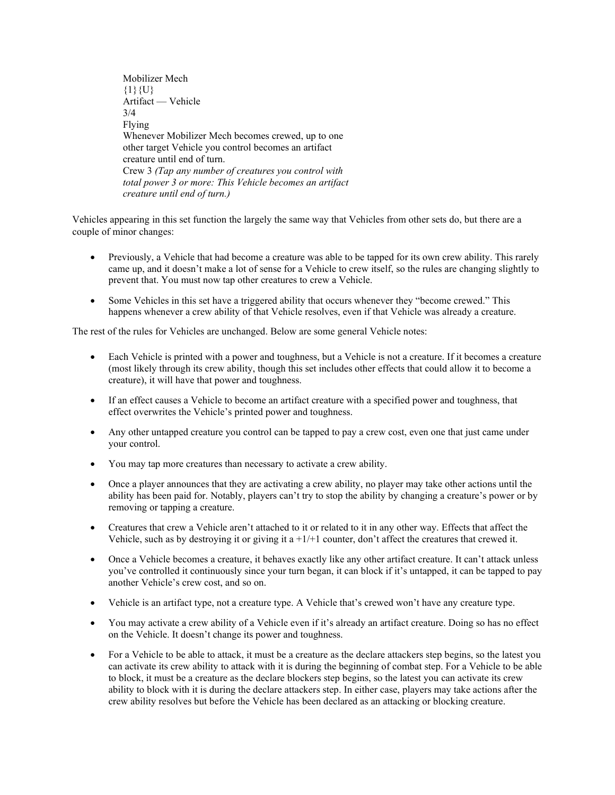Mobilizer Mech  ${1}$ {U} Artifact — Vehicle 3/4 Flying Whenever Mobilizer Mech becomes crewed, up to one other target Vehicle you control becomes an artifact creature until end of turn. Crew 3 *(Tap any number of creatures you control with total power 3 or more: This Vehicle becomes an artifact creature until end of turn.)*

Vehicles appearing in this set function the largely the same way that Vehicles from other sets do, but there are a couple of minor changes:

- Previously, a Vehicle that had become a creature was able to be tapped for its own crew ability. This rarely came up, and it doesn't make a lot of sense for a Vehicle to crew itself, so the rules are changing slightly to prevent that. You must now tap other creatures to crew a Vehicle.
- Some Vehicles in this set have a triggered ability that occurs whenever they "become crewed." This happens whenever a crew ability of that Vehicle resolves, even if that Vehicle was already a creature.

The rest of the rules for Vehicles are unchanged. Below are some general Vehicle notes:

- Each Vehicle is printed with a power and toughness, but a Vehicle is not a creature. If it becomes a creature (most likely through its crew ability, though this set includes other effects that could allow it to become a creature), it will have that power and toughness.
- If an effect causes a Vehicle to become an artifact creature with a specified power and toughness, that effect overwrites the Vehicle's printed power and toughness.
- Any other untapped creature you control can be tapped to pay a crew cost, even one that just came under your control.
- You may tap more creatures than necessary to activate a crew ability.
- Once a player announces that they are activating a crew ability, no player may take other actions until the ability has been paid for. Notably, players can't try to stop the ability by changing a creature's power or by removing or tapping a creature.
- Creatures that crew a Vehicle aren't attached to it or related to it in any other way. Effects that affect the Vehicle, such as by destroying it or giving it a +1/+1 counter, don't affect the creatures that crewed it.
- Once a Vehicle becomes a creature, it behaves exactly like any other artifact creature. It can't attack unless you've controlled it continuously since your turn began, it can block if it's untapped, it can be tapped to pay another Vehicle's crew cost, and so on.
- Vehicle is an artifact type, not a creature type. A Vehicle that's crewed won't have any creature type.
- You may activate a crew ability of a Vehicle even if it's already an artifact creature. Doing so has no effect on the Vehicle. It doesn't change its power and toughness.
- For a Vehicle to be able to attack, it must be a creature as the declare attackers step begins, so the latest you can activate its crew ability to attack with it is during the beginning of combat step. For a Vehicle to be able to block, it must be a creature as the declare blockers step begins, so the latest you can activate its crew ability to block with it is during the declare attackers step. In either case, players may take actions after the crew ability resolves but before the Vehicle has been declared as an attacking or blocking creature.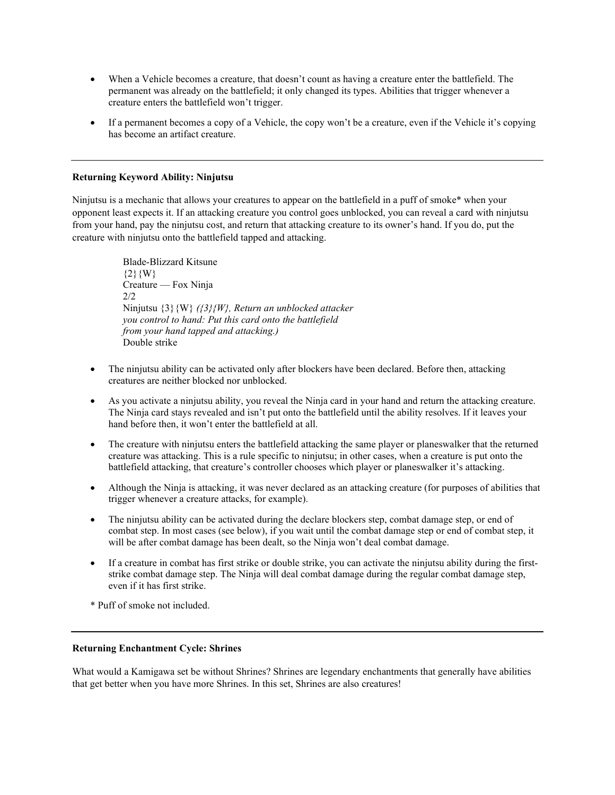- When a Vehicle becomes a creature, that doesn't count as having a creature enter the battlefield. The permanent was already on the battlefield; it only changed its types. Abilities that trigger whenever a creature enters the battlefield won't trigger.
- If a permanent becomes a copy of a Vehicle, the copy won't be a creature, even if the Vehicle it's copying has become an artifact creature.

### **Returning Keyword Ability: Ninjutsu**

Ninjutsu is a mechanic that allows your creatures to appear on the battlefield in a puff of smoke\* when your opponent least expects it. If an attacking creature you control goes unblocked, you can reveal a card with ninjutsu from your hand, pay the ninjutsu cost, and return that attacking creature to its owner's hand. If you do, put the creature with ninjutsu onto the battlefield tapped and attacking.

> Blade-Blizzard Kitsune  ${2}$ {W} Creature — Fox Ninja  $2/2$ Ninjutsu {3}{W} *({3}{W}, Return an unblocked attacker you control to hand: Put this card onto the battlefield from your hand tapped and attacking.)* Double strike

- The ninjutsu ability can be activated only after blockers have been declared. Before then, attacking creatures are neither blocked nor unblocked.
- As you activate a ninjutsu ability, you reveal the Ninja card in your hand and return the attacking creature. The Ninja card stays revealed and isn't put onto the battlefield until the ability resolves. If it leaves your hand before then, it won't enter the battlefield at all.
- The creature with ninjutsu enters the battlefield attacking the same player or planeswalker that the returned creature was attacking. This is a rule specific to ninjutsu; in other cases, when a creature is put onto the battlefield attacking, that creature's controller chooses which player or planeswalker it's attacking.
- Although the Ninja is attacking, it was never declared as an attacking creature (for purposes of abilities that trigger whenever a creature attacks, for example).
- The ninjutsu ability can be activated during the declare blockers step, combat damage step, or end of combat step. In most cases (see below), if you wait until the combat damage step or end of combat step, it will be after combat damage has been dealt, so the Ninja won't deal combat damage.
- If a creature in combat has first strike or double strike, you can activate the ninjutsu ability during the firststrike combat damage step. The Ninja will deal combat damage during the regular combat damage step, even if it has first strike.

\* Puff of smoke not included.

#### **Returning Enchantment Cycle: Shrines**

What would a Kamigawa set be without Shrines? Shrines are legendary enchantments that generally have abilities that get better when you have more Shrines. In this set, Shrines are also creatures!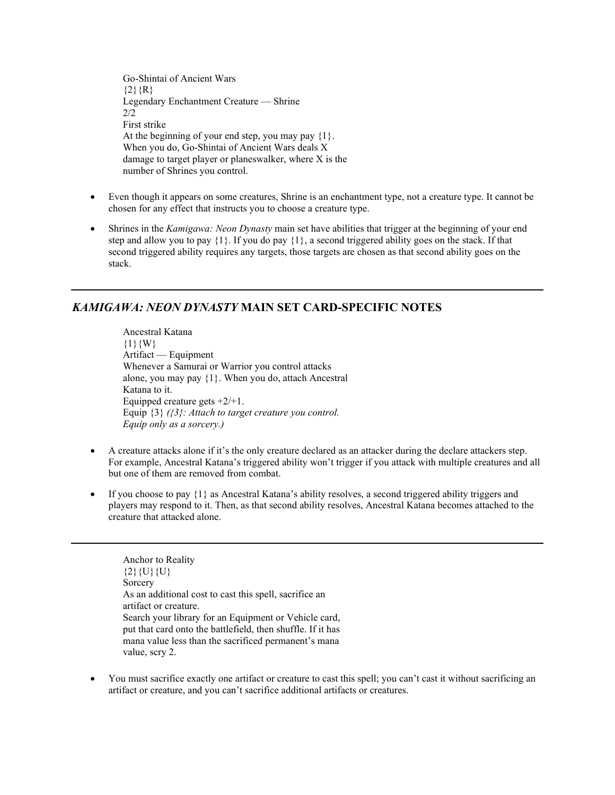Go-Shintai of Ancient Wars  ${2}$ {R} Legendary Enchantment Creature — Shrine 2/2 First strike At the beginning of your end step, you may pay {1}. When you do, Go-Shintai of Ancient Wars deals X damage to target player or planeswalker, where X is the number of Shrines you control.

- Even though it appears on some creatures, Shrine is an enchantment type, not a creature type. It cannot be chosen for any effect that instructs you to choose a creature type.
- Shrines in the *Kamigawa: Neon Dynasty* main set have abilities that trigger at the beginning of your end step and allow you to pay  $\{1\}$ . If you do pay  $\{1\}$ , a second triggered ability goes on the stack. If that second triggered ability requires any targets, those targets are chosen as that second ability goes on the stack.

# *KAMIGAWA: NEON DYNASTY* **MAIN SET CARD-SPECIFIC NOTES**

Ancestral Katana  ${1}{W}$ Artifact — Equipment Whenever a Samurai or Warrior you control attacks alone, you may pay {1}. When you do, attach Ancestral Katana to it. Equipped creature gets +2/+1. Equip {3} *({3}: Attach to target creature you control. Equip only as a sorcery.)*

- A creature attacks alone if it's the only creature declared as an attacker during the declare attackers step. For example, Ancestral Katana's triggered ability won't trigger if you attack with multiple creatures and all but one of them are removed from combat.
- If you choose to pay  $\{1\}$  as Ancestral Katana's ability resolves, a second triggered ability triggers and players may respond to it. Then, as that second ability resolves, Ancestral Katana becomes attached to the creature that attacked alone.

Anchor to Reality  ${2}{U}{U}{U}$ Sorcery As an additional cost to cast this spell, sacrifice an artifact or creature. Search your library for an Equipment or Vehicle card, put that card onto the battlefield, then shuffle. If it has mana value less than the sacrificed permanent's mana value, scry 2.

• You must sacrifice exactly one artifact or creature to cast this spell; you can't cast it without sacrificing an artifact or creature, and you can't sacrifice additional artifacts or creatures.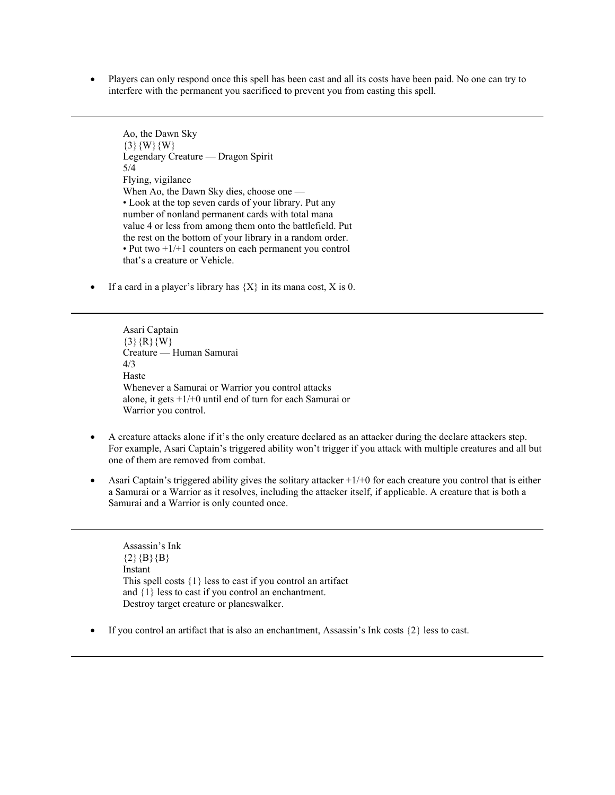• Players can only respond once this spell has been cast and all its costs have been paid. No one can try to interfere with the permanent you sacrificed to prevent you from casting this spell.

Ao, the Dawn Sky  $\{3\}\{W\}\{W\}$ Legendary Creature — Dragon Spirit 5/4 Flying, vigilance When Ao, the Dawn Sky dies, choose one — • Look at the top seven cards of your library. Put any number of nonland permanent cards with total mana value 4 or less from among them onto the battlefield. Put the rest on the bottom of your library in a random order. • Put two +1/+1 counters on each permanent you control that's a creature or Vehicle.

• If a card in a player's library has  $\{X\}$  in its mana cost, X is 0.

Asari Captain  $\{3\}$  {R}{W} Creature — Human Samurai 4/3 Haste Whenever a Samurai or Warrior you control attacks alone, it gets +1/+0 until end of turn for each Samurai or Warrior you control.

- A creature attacks alone if it's the only creature declared as an attacker during the declare attackers step. For example, Asari Captain's triggered ability won't trigger if you attack with multiple creatures and all but one of them are removed from combat.
- Asari Captain's triggered ability gives the solitary attacker  $+1/+0$  for each creature you control that is either a Samurai or a Warrior as it resolves, including the attacker itself, if applicable. A creature that is both a Samurai and a Warrior is only counted once.

Assassin's Ink  ${2}{B}{B}$ Instant This spell costs {1} less to cast if you control an artifact and {1} less to cast if you control an enchantment. Destroy target creature or planeswalker.

If you control an artifact that is also an enchantment, Assassin's Ink costs  $\{2\}$  less to cast.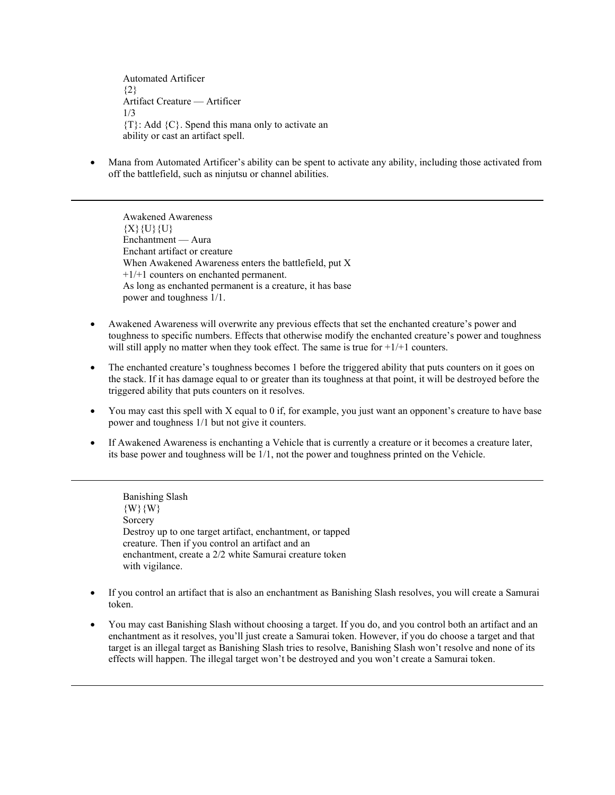Automated Artificer  ${2}$ Artifact Creature — Artificer 1/3  ${T}$ : Add  ${C}$ . Spend this mana only to activate an ability or cast an artifact spell.

• Mana from Automated Artificer's ability can be spent to activate any ability, including those activated from off the battlefield, such as ninjutsu or channel abilities.

Awakened Awareness  ${X}{U}{U}{U}$ Enchantment — Aura Enchant artifact or creature When Awakened Awareness enters the battlefield, put X +1/+1 counters on enchanted permanent. As long as enchanted permanent is a creature, it has base power and toughness 1/1.

- Awakened Awareness will overwrite any previous effects that set the enchanted creature's power and toughness to specific numbers. Effects that otherwise modify the enchanted creature's power and toughness will still apply no matter when they took effect. The same is true for  $+1/+1$  counters.
- The enchanted creature's toughness becomes 1 before the triggered ability that puts counters on it goes on the stack. If it has damage equal to or greater than its toughness at that point, it will be destroyed before the triggered ability that puts counters on it resolves.
- You may cast this spell with X equal to 0 if, for example, you just want an opponent's creature to have base power and toughness 1/1 but not give it counters.
- If Awakened Awareness is enchanting a Vehicle that is currently a creature or it becomes a creature later, its base power and toughness will be 1/1, not the power and toughness printed on the Vehicle.

Banishing Slash {W}{W} Sorcery Destroy up to one target artifact, enchantment, or tapped creature. Then if you control an artifact and an enchantment, create a 2/2 white Samurai creature token with vigilance.

- If you control an artifact that is also an enchantment as Banishing Slash resolves, you will create a Samurai token.
- You may cast Banishing Slash without choosing a target. If you do, and you control both an artifact and an enchantment as it resolves, you'll just create a Samurai token. However, if you do choose a target and that target is an illegal target as Banishing Slash tries to resolve, Banishing Slash won't resolve and none of its effects will happen. The illegal target won't be destroyed and you won't create a Samurai token.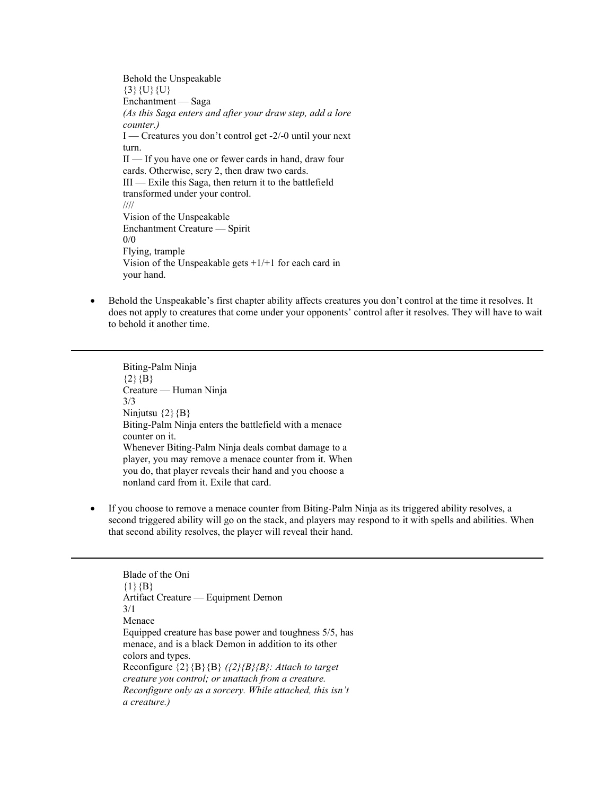Behold the Unspeakable  $\{3\}\{U\}\{U\}$ Enchantment — Saga *(As this Saga enters and after your draw step, add a lore counter.)* I — Creatures you don't control get -2/-0 until your next turn. II — If you have one or fewer cards in hand, draw four cards. Otherwise, scry 2, then draw two cards. III — Exile this Saga, then return it to the battlefield transformed under your control. //// Vision of the Unspeakable Enchantment Creature — Spirit 0/0 Flying, trample Vision of the Unspeakable gets  $+1/+1$  for each card in your hand.

• Behold the Unspeakable's first chapter ability affects creatures you don't control at the time it resolves. It does not apply to creatures that come under your opponents' control after it resolves. They will have to wait to behold it another time.

Biting-Palm Ninja  ${2}{B}$ Creature — Human Ninja 3/3 Ninjutsu  $\{2\}$  {B} Biting-Palm Ninja enters the battlefield with a menace counter on it. Whenever Biting-Palm Ninja deals combat damage to a player, you may remove a menace counter from it. When you do, that player reveals their hand and you choose a nonland card from it. Exile that card.

• If you choose to remove a menace counter from Biting-Palm Ninja as its triggered ability resolves, a second triggered ability will go on the stack, and players may respond to it with spells and abilities. When that second ability resolves, the player will reveal their hand.

Blade of the Oni  ${1}{B}$ Artifact Creature — Equipment Demon 3/1 Menace Equipped creature has base power and toughness 5/5, has menace, and is a black Demon in addition to its other colors and types. Reconfigure {2}{B}{B} *({2}{B}{B}: Attach to target creature you control; or unattach from a creature. Reconfigure only as a sorcery. While attached, this isn't a creature.)*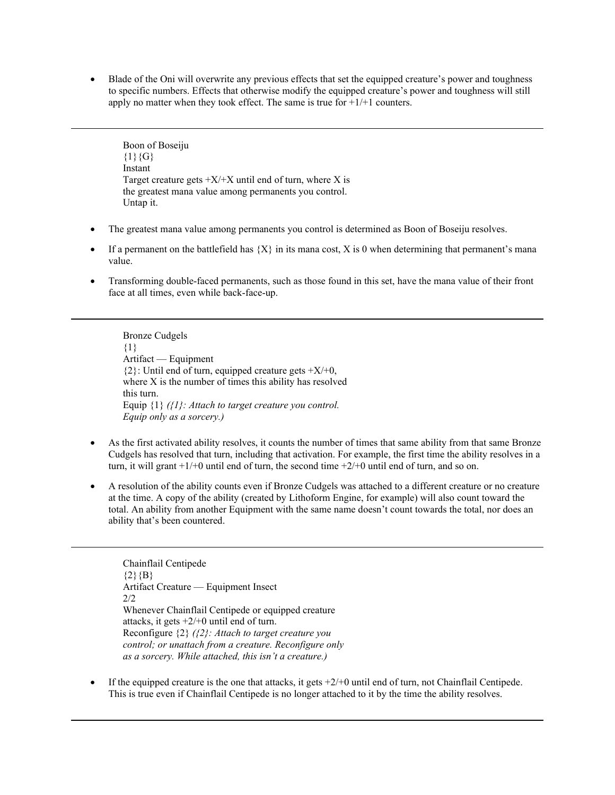• Blade of the Oni will overwrite any previous effects that set the equipped creature's power and toughness to specific numbers. Effects that otherwise modify the equipped creature's power and toughness will still apply no matter when they took effect. The same is true for  $+1/+1$  counters.

Boon of Boseiju  ${1}{G}$ Instant Target creature gets  $+X/+X$  until end of turn, where X is the greatest mana value among permanents you control. Untap it.

- The greatest mana value among permanents you control is determined as Boon of Boseiju resolves.
- If a permanent on the battlefield has  ${X}$  in its mana cost, X is 0 when determining that permanent's mana value.
- Transforming double-faced permanents, such as those found in this set, have the mana value of their front face at all times, even while back-face-up.

Bronze Cudgels {1} Artifact — Equipment  ${2}$ : Until end of turn, equipped creature gets  $+X/+0$ , where X is the number of times this ability has resolved this turn. Equip {1} *({1}: Attach to target creature you control. Equip only as a sorcery.)*

- As the first activated ability resolves, it counts the number of times that same ability from that same Bronze Cudgels has resolved that turn, including that activation. For example, the first time the ability resolves in a turn, it will grant  $+1/+0$  until end of turn, the second time  $+2/+0$  until end of turn, and so on.
- A resolution of the ability counts even if Bronze Cudgels was attached to a different creature or no creature at the time. A copy of the ability (created by Lithoform Engine, for example) will also count toward the total. An ability from another Equipment with the same name doesn't count towards the total, nor does an ability that's been countered.

Chainflail Centipede  ${2}{B}$ Artifact Creature — Equipment Insect 2/2 Whenever Chainflail Centipede or equipped creature attacks, it gets  $+2/+0$  until end of turn. Reconfigure {2} *({2}: Attach to target creature you control; or unattach from a creature. Reconfigure only as a sorcery. While attached, this isn't a creature.)*

If the equipped creature is the one that attacks, it gets  $+2/+0$  until end of turn, not Chainflail Centipede. This is true even if Chainflail Centipede is no longer attached to it by the time the ability resolves.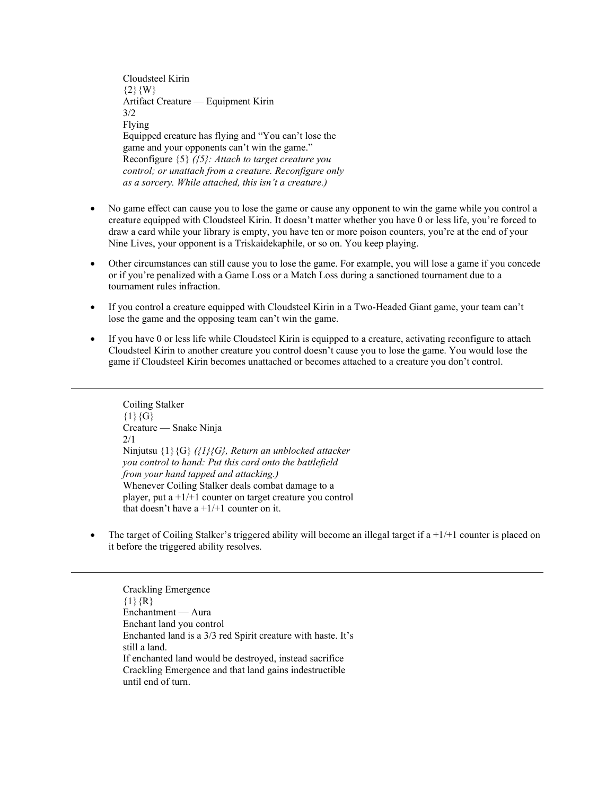Cloudsteel Kirin  ${2}{W}$ Artifact Creature — Equipment Kirin 3/2 Flying Equipped creature has flying and "You can't lose the game and your opponents can't win the game." Reconfigure {5} *({5}: Attach to target creature you control; or unattach from a creature. Reconfigure only as a sorcery. While attached, this isn't a creature.)*

- No game effect can cause you to lose the game or cause any opponent to win the game while you control a creature equipped with Cloudsteel Kirin. It doesn't matter whether you have 0 or less life, you're forced to draw a card while your library is empty, you have ten or more poison counters, you're at the end of your Nine Lives, your opponent is a Triskaidekaphile, or so on. You keep playing.
- Other circumstances can still cause you to lose the game. For example, you will lose a game if you concede or if you're penalized with a Game Loss or a Match Loss during a sanctioned tournament due to a tournament rules infraction.
- If you control a creature equipped with Cloudsteel Kirin in a Two-Headed Giant game, your team can't lose the game and the opposing team can't win the game.
- If you have 0 or less life while Cloudsteel Kirin is equipped to a creature, activating reconfigure to attach Cloudsteel Kirin to another creature you control doesn't cause you to lose the game. You would lose the game if Cloudsteel Kirin becomes unattached or becomes attached to a creature you don't control.

Coiling Stalker  ${1}{G}$ Creature — Snake Ninja 2/1 Ninjutsu {1}{G} *({1}{G}, Return an unblocked attacker you control to hand: Put this card onto the battlefield from your hand tapped and attacking.)* Whenever Coiling Stalker deals combat damage to a player, put a +1/+1 counter on target creature you control that doesn't have  $a + 1/1$  counter on it.

The target of Coiling Stalker's triggered ability will become an illegal target if  $a + 1/+1$  counter is placed on it before the triggered ability resolves.

Crackling Emergence  ${1}{R}$ Enchantment — Aura Enchant land you control Enchanted land is a 3/3 red Spirit creature with haste. It's still a land. If enchanted land would be destroyed, instead sacrifice Crackling Emergence and that land gains indestructible until end of turn.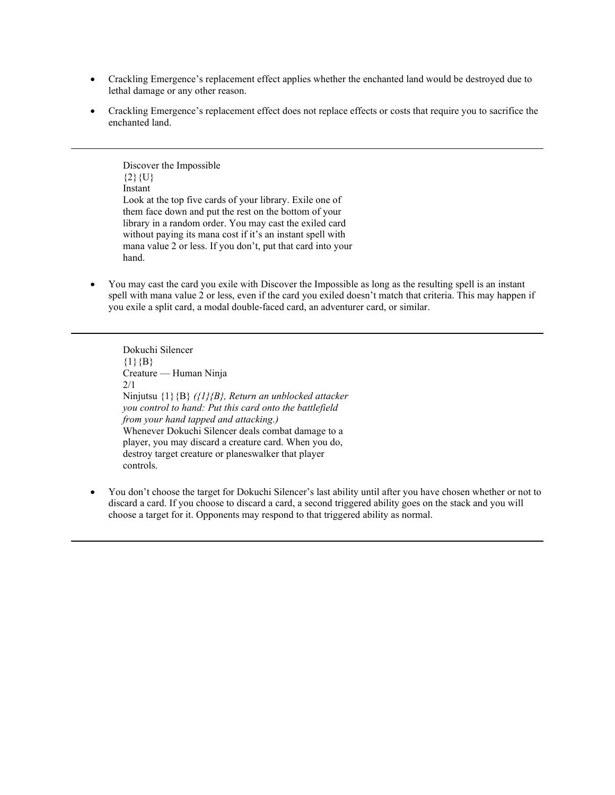- Crackling Emergence's replacement effect applies whether the enchanted land would be destroyed due to lethal damage or any other reason.
- Crackling Emergence's replacement effect does not replace effects or costs that require you to sacrifice the enchanted land.

Discover the Impossible  ${2}{U}$ Instant Look at the top five cards of your library. Exile one of them face down and put the rest on the bottom of your library in a random order. You may cast the exiled card without paying its mana cost if it's an instant spell with mana value 2 or less. If you don't, put that card into your hand.

• You may cast the card you exile with Discover the Impossible as long as the resulting spell is an instant spell with mana value 2 or less, even if the card you exiled doesn't match that criteria. This may happen if you exile a split card, a modal double-faced card, an adventurer card, or similar.

Dokuchi Silencer  $\{1\}$   $\{B\}$ Creature — Human Ninja 2/1 Ninjutsu {1}{B} *({1}{B}, Return an unblocked attacker you control to hand: Put this card onto the battlefield from your hand tapped and attacking.)* Whenever Dokuchi Silencer deals combat damage to a player, you may discard a creature card. When you do, destroy target creature or planeswalker that player controls.

• You don't choose the target for Dokuchi Silencer's last ability until after you have chosen whether or not to discard a card. If you choose to discard a card, a second triggered ability goes on the stack and you will choose a target for it. Opponents may respond to that triggered ability as normal.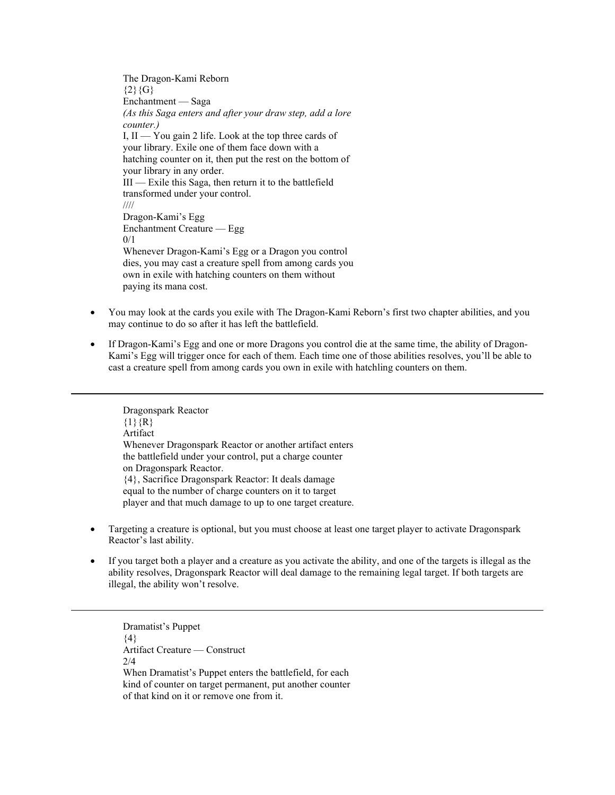The Dragon-Kami Reborn  ${2}{G}$ Enchantment — Saga *(As this Saga enters and after your draw step, add a lore counter.)* I, II — You gain 2 life. Look at the top three cards of your library. Exile one of them face down with a hatching counter on it, then put the rest on the bottom of your library in any order. III — Exile this Saga, then return it to the battlefield transformed under your control. //// Dragon-Kami's Egg Enchantment Creature — Egg 0/1 Whenever Dragon-Kami's Egg or a Dragon you control dies, you may cast a creature spell from among cards you own in exile with hatching counters on them without paying its mana cost.

- You may look at the cards you exile with The Dragon-Kami Reborn's first two chapter abilities, and you may continue to do so after it has left the battlefield.
- If Dragon-Kami's Egg and one or more Dragons you control die at the same time, the ability of Dragon-Kami's Egg will trigger once for each of them. Each time one of those abilities resolves, you'll be able to cast a creature spell from among cards you own in exile with hatchling counters on them.

Dragonspark Reactor  ${1}{R}$ Artifact Whenever Dragonspark Reactor or another artifact enters the battlefield under your control, put a charge counter on Dragonspark Reactor. {4}, Sacrifice Dragonspark Reactor: It deals damage equal to the number of charge counters on it to target player and that much damage to up to one target creature.

- Targeting a creature is optional, but you must choose at least one target player to activate Dragonspark Reactor's last ability.
- If you target both a player and a creature as you activate the ability, and one of the targets is illegal as the ability resolves, Dragonspark Reactor will deal damage to the remaining legal target. If both targets are illegal, the ability won't resolve.

Dramatist's Puppet  ${4}$ Artifact Creature — Construct 2/4 When Dramatist's Puppet enters the battlefield, for each kind of counter on target permanent, put another counter of that kind on it or remove one from it.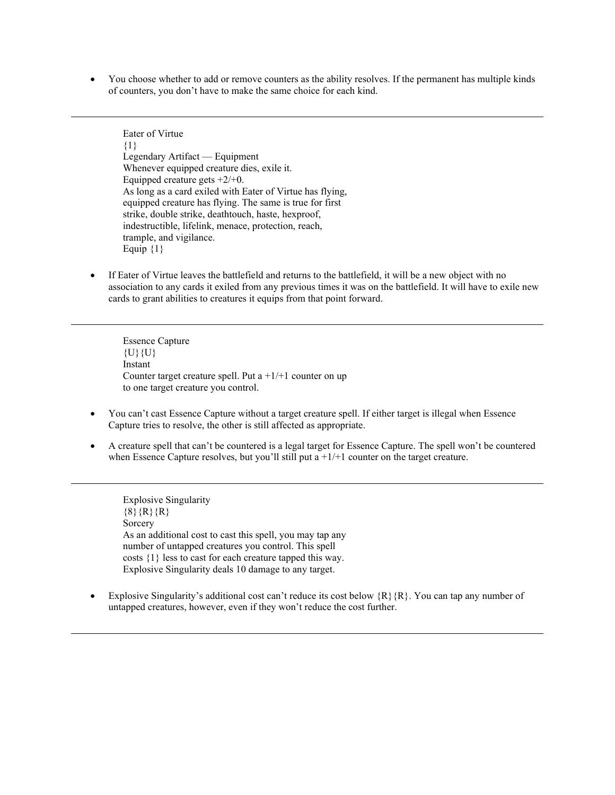• You choose whether to add or remove counters as the ability resolves. If the permanent has multiple kinds of counters, you don't have to make the same choice for each kind.

Eater of Virtue {1} Legendary Artifact — Equipment Whenever equipped creature dies, exile it. Equipped creature gets  $+2/+0$ . As long as a card exiled with Eater of Virtue has flying, equipped creature has flying. The same is true for first strike, double strike, deathtouch, haste, hexproof, indestructible, lifelink, menace, protection, reach, trample, and vigilance. Equip  ${1}$ 

If Eater of Virtue leaves the battlefield and returns to the battlefield, it will be a new object with no association to any cards it exiled from any previous times it was on the battlefield. It will have to exile new cards to grant abilities to creatures it equips from that point forward.

Essence Capture  $\{U\}\{U\}$ Instant Counter target creature spell. Put  $a + 1/+1$  counter on up to one target creature you control.

- You can't cast Essence Capture without a target creature spell. If either target is illegal when Essence Capture tries to resolve, the other is still affected as appropriate.
- A creature spell that can't be countered is a legal target for Essence Capture. The spell won't be countered when Essence Capture resolves, but you'll still put a  $+1/+1$  counter on the target creature.

Explosive Singularity  $\{8\}$   $\{R\}$   $\{R\}$ Sorcery As an additional cost to cast this spell, you may tap any number of untapped creatures you control. This spell costs {1} less to cast for each creature tapped this way. Explosive Singularity deals 10 damage to any target.

Explosive Singularity's additional cost can't reduce its cost below  ${R}$   ${R}$ . You can tap any number of untapped creatures, however, even if they won't reduce the cost further.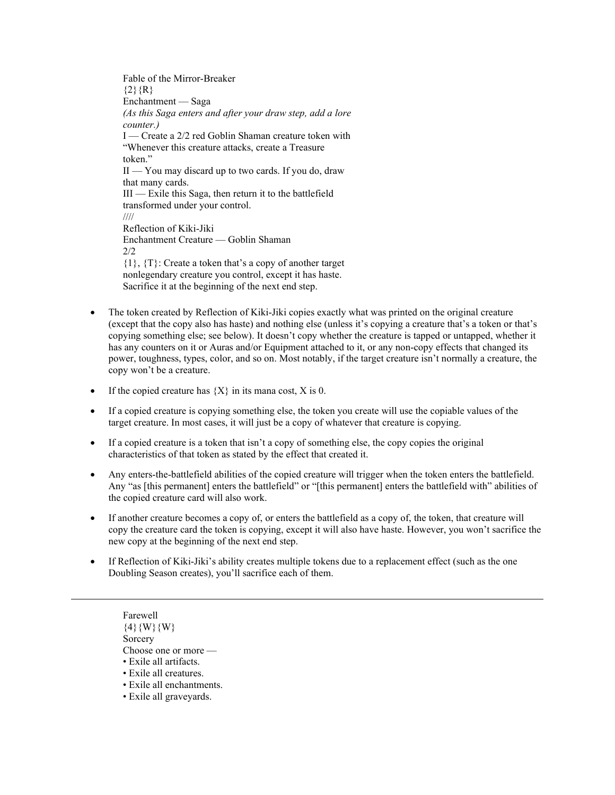Fable of the Mirror-Breaker  ${2}{R}$ Enchantment — Saga *(As this Saga enters and after your draw step, add a lore counter.)* I — Create a 2/2 red Goblin Shaman creature token with "Whenever this creature attacks, create a Treasure token." II — You may discard up to two cards. If you do, draw that many cards. III — Exile this Saga, then return it to the battlefield transformed under your control. //// Reflection of Kiki-Jiki Enchantment Creature — Goblin Shaman  $2/2$ {1}, {T}: Create a token that's a copy of another target nonlegendary creature you control, except it has haste. Sacrifice it at the beginning of the next end step.

- The token created by Reflection of Kiki-Jiki copies exactly what was printed on the original creature (except that the copy also has haste) and nothing else (unless it's copying a creature that's a token or that's copying something else; see below). It doesn't copy whether the creature is tapped or untapped, whether it has any counters on it or Auras and/or Equipment attached to it, or any non-copy effects that changed its power, toughness, types, color, and so on. Most notably, if the target creature isn't normally a creature, the copy won't be a creature.
- If the copied creature has  ${X}$  in its mana cost, X is 0.
- If a copied creature is copying something else, the token you create will use the copiable values of the target creature. In most cases, it will just be a copy of whatever that creature is copying.
- If a copied creature is a token that isn't a copy of something else, the copy copies the original characteristics of that token as stated by the effect that created it.
- Any enters-the-battlefield abilities of the copied creature will trigger when the token enters the battlefield. Any "as [this permanent] enters the battlefield" or "[this permanent] enters the battlefield with" abilities of the copied creature card will also work.
- If another creature becomes a copy of, or enters the battlefield as a copy of, the token, that creature will copy the creature card the token is copying, except it will also have haste. However, you won't sacrifice the new copy at the beginning of the next end step.
- If Reflection of Kiki-Jiki's ability creates multiple tokens due to a replacement effect (such as the one Doubling Season creates), you'll sacrifice each of them.

Farewell  $\{4\}$ {W}{W} **Sorcery** Choose one or more — • Exile all artifacts. • Exile all creatures. • Exile all enchantments.

• Exile all graveyards.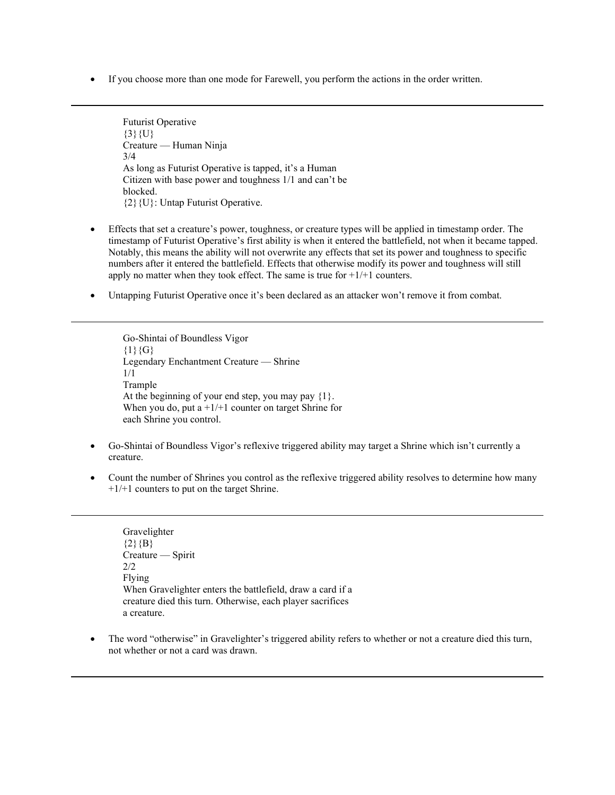• If you choose more than one mode for Farewell, you perform the actions in the order written.

Futurist Operative  $\{3\}\{U\}$ Creature — Human Ninja 3/4 As long as Futurist Operative is tapped, it's a Human Citizen with base power and toughness 1/1 and can't be blocked. {2}{U}: Untap Futurist Operative.

- Effects that set a creature's power, toughness, or creature types will be applied in timestamp order. The timestamp of Futurist Operative's first ability is when it entered the battlefield, not when it became tapped. Notably, this means the ability will not overwrite any effects that set its power and toughness to specific numbers after it entered the battlefield. Effects that otherwise modify its power and toughness will still apply no matter when they took effect. The same is true for  $+1/+1$  counters.
- Untapping Futurist Operative once it's been declared as an attacker won't remove it from combat.

Go-Shintai of Boundless Vigor  ${1}{G}$ Legendary Enchantment Creature — Shrine 1/1 Trample At the beginning of your end step, you may pay {1}. When you do, put a  $+1/+1$  counter on target Shrine for each Shrine you control.

- Go-Shintai of Boundless Vigor's reflexive triggered ability may target a Shrine which isn't currently a creature.
- Count the number of Shrines you control as the reflexive triggered ability resolves to determine how many +1/+1 counters to put on the target Shrine.

Gravelighter  ${2}{B}$ Creature — Spirit 2/2 Flying When Gravelighter enters the battlefield, draw a card if a creature died this turn. Otherwise, each player sacrifices a creature.

• The word "otherwise" in Gravelighter's triggered ability refers to whether or not a creature died this turn, not whether or not a card was drawn.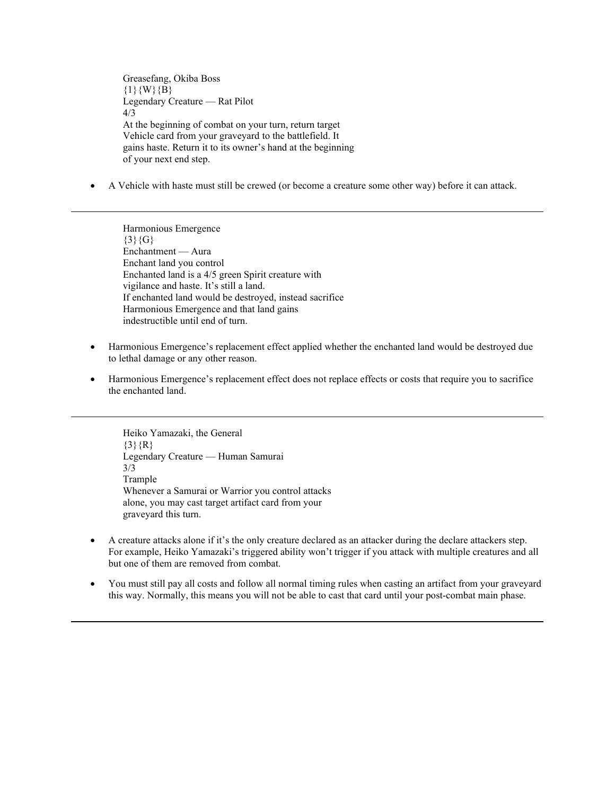Greasefang, Okiba Boss  ${1}{W}{B}$ Legendary Creature — Rat Pilot 4/3 At the beginning of combat on your turn, return target Vehicle card from your graveyard to the battlefield. It gains haste. Return it to its owner's hand at the beginning of your next end step.

• A Vehicle with haste must still be crewed (or become a creature some other way) before it can attack.

Harmonious Emergence  ${3}{G}$ Enchantment — Aura Enchant land you control Enchanted land is a 4/5 green Spirit creature with vigilance and haste. It's still a land. If enchanted land would be destroyed, instead sacrifice Harmonious Emergence and that land gains indestructible until end of turn.

- Harmonious Emergence's replacement effect applied whether the enchanted land would be destroyed due to lethal damage or any other reason.
- Harmonious Emergence's replacement effect does not replace effects or costs that require you to sacrifice the enchanted land.

Heiko Yamazaki, the General  $\{3\}$ {R} Legendary Creature — Human Samurai 3/3 Trample Whenever a Samurai or Warrior you control attacks alone, you may cast target artifact card from your graveyard this turn.

- A creature attacks alone if it's the only creature declared as an attacker during the declare attackers step. For example, Heiko Yamazaki's triggered ability won't trigger if you attack with multiple creatures and all but one of them are removed from combat.
- You must still pay all costs and follow all normal timing rules when casting an artifact from your graveyard this way. Normally, this means you will not be able to cast that card until your post-combat main phase.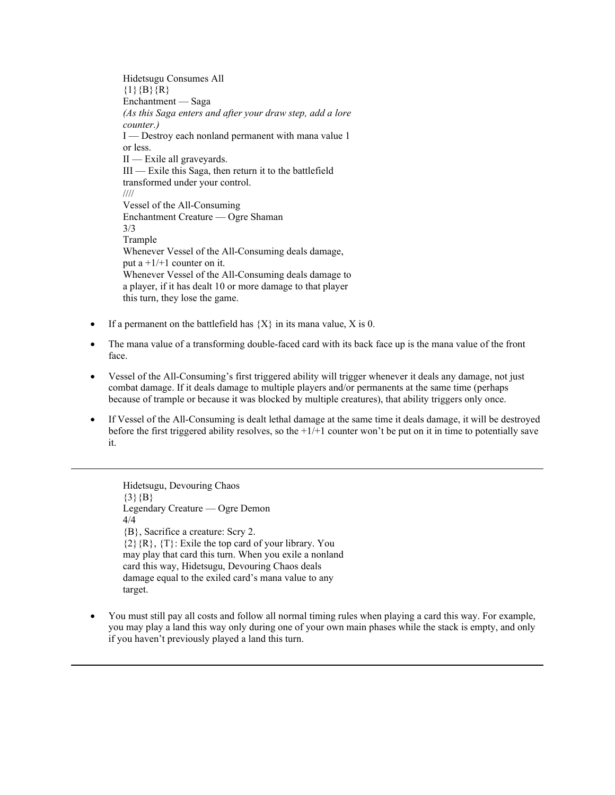Hidetsugu Consumes All  ${1}{B}{R}$ Enchantment — Saga *(As this Saga enters and after your draw step, add a lore counter.)* I — Destroy each nonland permanent with mana value 1 or less. II — Exile all graveyards. III — Exile this Saga, then return it to the battlefield transformed under your control. //// Vessel of the All-Consuming Enchantment Creature — Ogre Shaman 3/3 Trample Whenever Vessel of the All-Consuming deals damage, put a  $+1/+1$  counter on it. Whenever Vessel of the All-Consuming deals damage to a player, if it has dealt 10 or more damage to that player this turn, they lose the game.

- If a permanent on the battlefield has  ${X}$  in its mana value, X is 0.
- The mana value of a transforming double-faced card with its back face up is the mana value of the front face.
- Vessel of the All-Consuming's first triggered ability will trigger whenever it deals any damage, not just combat damage. If it deals damage to multiple players and/or permanents at the same time (perhaps because of trample or because it was blocked by multiple creatures), that ability triggers only once.
- If Vessel of the All-Consuming is dealt lethal damage at the same time it deals damage, it will be destroyed before the first triggered ability resolves, so the  $+1/+1$  counter won't be put on it in time to potentially save it.

Hidetsugu, Devouring Chaos  $\{3\}$   $\{B\}$ Legendary Creature — Ogre Demon 4/4 {B}, Sacrifice a creature: Scry 2.  ${2}{R}, {T}$ : Exile the top card of your library. You may play that card this turn. When you exile a nonland card this way, Hidetsugu, Devouring Chaos deals damage equal to the exiled card's mana value to any target.

• You must still pay all costs and follow all normal timing rules when playing a card this way. For example, you may play a land this way only during one of your own main phases while the stack is empty, and only if you haven't previously played a land this turn.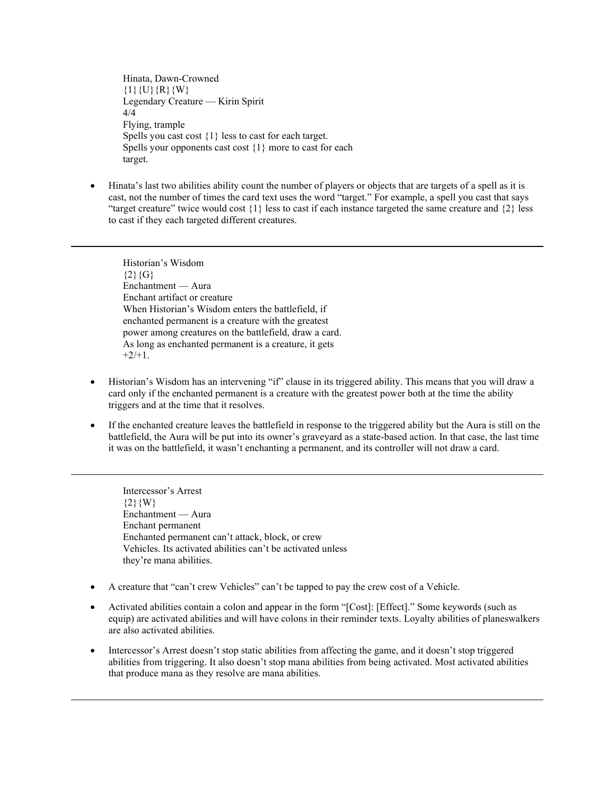Hinata, Dawn-Crowned  $\{1\}\{U\}\{R\}\{W\}$ Legendary Creature — Kirin Spirit 4/4 Flying, trample Spells you cast cost {1} less to cast for each target. Spells your opponents cast cost  $\{1\}$  more to cast for each target.

• Hinata's last two abilities ability count the number of players or objects that are targets of a spell as it is cast, not the number of times the card text uses the word "target." For example, a spell you cast that says "target creature" twice would cost  $\{1\}$  less to cast if each instance targeted the same creature and  $\{2\}$  less to cast if they each targeted different creatures.

Historian's Wisdom  ${2}{G}$ Enchantment — Aura Enchant artifact or creature When Historian's Wisdom enters the battlefield, if enchanted permanent is a creature with the greatest power among creatures on the battlefield, draw a card. As long as enchanted permanent is a creature, it gets  $+2/+1.$ 

- Historian's Wisdom has an intervening "if" clause in its triggered ability. This means that you will draw a card only if the enchanted permanent is a creature with the greatest power both at the time the ability triggers and at the time that it resolves.
- If the enchanted creature leaves the battlefield in response to the triggered ability but the Aura is still on the battlefield, the Aura will be put into its owner's graveyard as a state-based action. In that case, the last time it was on the battlefield, it wasn't enchanting a permanent, and its controller will not draw a card.

Intercessor's Arrest  ${2}{W}$ Enchantment — Aura Enchant permanent Enchanted permanent can't attack, block, or crew Vehicles. Its activated abilities can't be activated unless they're mana abilities.

- A creature that "can't crew Vehicles" can't be tapped to pay the crew cost of a Vehicle.
- Activated abilities contain a colon and appear in the form "[Cost]: [Effect]." Some keywords (such as equip) are activated abilities and will have colons in their reminder texts. Loyalty abilities of planeswalkers are also activated abilities.
- Intercessor's Arrest doesn't stop static abilities from affecting the game, and it doesn't stop triggered abilities from triggering. It also doesn't stop mana abilities from being activated. Most activated abilities that produce mana as they resolve are mana abilities.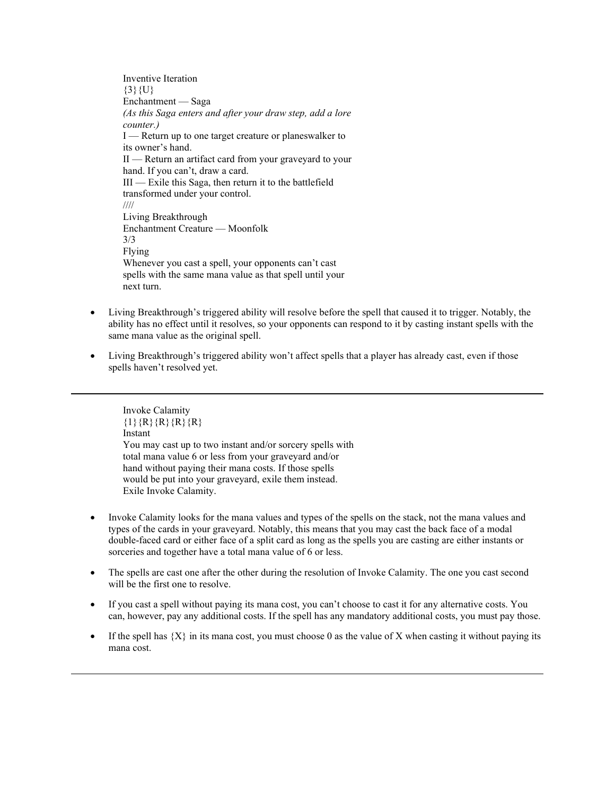Inventive Iteration  ${3}$ {U} Enchantment — Saga *(As this Saga enters and after your draw step, add a lore counter.)* I — Return up to one target creature or planeswalker to its owner's hand. II — Return an artifact card from your graveyard to your hand. If you can't, draw a card. III — Exile this Saga, then return it to the battlefield transformed under your control. //// Living Breakthrough Enchantment Creature — Moonfolk 3/3 Flying Whenever you cast a spell, your opponents can't cast spells with the same mana value as that spell until your next turn.

- Living Breakthrough's triggered ability will resolve before the spell that caused it to trigger. Notably, the ability has no effect until it resolves, so your opponents can respond to it by casting instant spells with the same mana value as the original spell.
- Living Breakthrough's triggered ability won't affect spells that a player has already cast, even if those spells haven't resolved yet.

Invoke Calamity  $\{1\}$  {R} {R} {R} {R} {R} Instant You may cast up to two instant and/or sorcery spells with total mana value 6 or less from your graveyard and/or hand without paying their mana costs. If those spells would be put into your graveyard, exile them instead. Exile Invoke Calamity.

- Invoke Calamity looks for the mana values and types of the spells on the stack, not the mana values and types of the cards in your graveyard. Notably, this means that you may cast the back face of a modal double-faced card or either face of a split card as long as the spells you are casting are either instants or sorceries and together have a total mana value of 6 or less.
- The spells are cast one after the other during the resolution of Invoke Calamity. The one you cast second will be the first one to resolve.
- If you cast a spell without paying its mana cost, you can't choose to cast it for any alternative costs. You can, however, pay any additional costs. If the spell has any mandatory additional costs, you must pay those.
- If the spell has  $\{X\}$  in its mana cost, you must choose 0 as the value of X when casting it without paying its mana cost.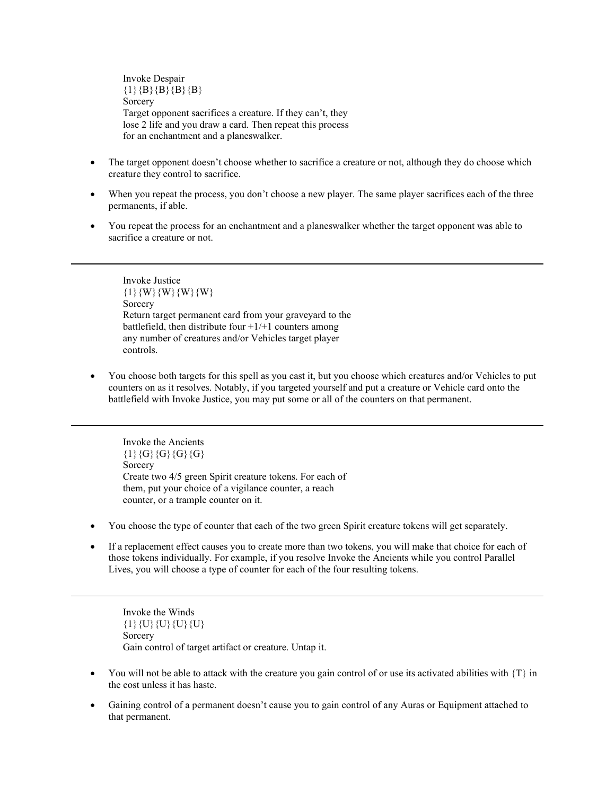Invoke Despair  ${1}{B}{B}{B}{B}{B}{B}$ **Sorcery** Target opponent sacrifices a creature. If they can't, they lose 2 life and you draw a card. Then repeat this process for an enchantment and a planeswalker.

- The target opponent doesn't choose whether to sacrifice a creature or not, although they do choose which creature they control to sacrifice.
- When you repeat the process, you don't choose a new player. The same player sacrifices each of the three permanents, if able.
- You repeat the process for an enchantment and a planeswalker whether the target opponent was able to sacrifice a creature or not.

Invoke Justice  ${1}{W}{W}{W}{W}{W}{W}$ Sorcery Return target permanent card from your graveyard to the battlefield, then distribute four  $+1/+1$  counters among any number of creatures and/or Vehicles target player controls.

• You choose both targets for this spell as you cast it, but you choose which creatures and/or Vehicles to put counters on as it resolves. Notably, if you targeted yourself and put a creature or Vehicle card onto the battlefield with Invoke Justice, you may put some or all of the counters on that permanent.

Invoke the Ancients  ${1}{G}{G}{G}{G}{G}{G}$ Sorcery Create two 4/5 green Spirit creature tokens. For each of them, put your choice of a vigilance counter, a reach counter, or a trample counter on it.

- You choose the type of counter that each of the two green Spirit creature tokens will get separately.
- If a replacement effect causes you to create more than two tokens, you will make that choice for each of those tokens individually. For example, if you resolve Invoke the Ancients while you control Parallel Lives, you will choose a type of counter for each of the four resulting tokens.

Invoke the Winds  ${1}{U}{U}{U}{U}{U}{U}$ Sorcery Gain control of target artifact or creature. Untap it.

- You will not be able to attack with the creature you gain control of or use its activated abilities with  $\{T\}$  in the cost unless it has haste.
- Gaining control of a permanent doesn't cause you to gain control of any Auras or Equipment attached to that permanent.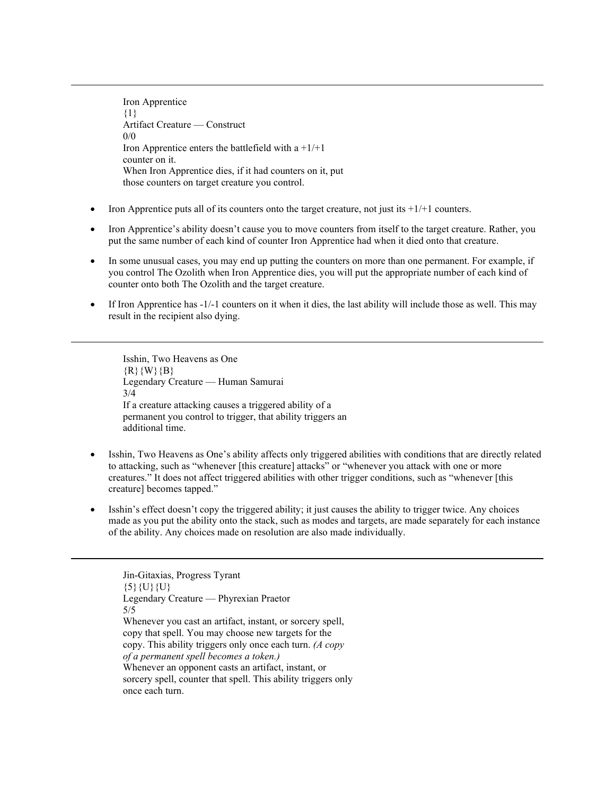Iron Apprentice {1} Artifact Creature — Construct  $0/0$ Iron Apprentice enters the battlefield with  $a + 1/+1$ counter on it. When Iron Apprentice dies, if it had counters on it, put those counters on target creature you control.

- Iron Apprentice puts all of its counters onto the target creature, not just its  $+1/+1$  counters.
- Iron Apprentice's ability doesn't cause you to move counters from itself to the target creature. Rather, you put the same number of each kind of counter Iron Apprentice had when it died onto that creature.
- In some unusual cases, you may end up putting the counters on more than one permanent. For example, if you control The Ozolith when Iron Apprentice dies, you will put the appropriate number of each kind of counter onto both The Ozolith and the target creature.
- If Iron Apprentice has  $-1/-1$  counters on it when it dies, the last ability will include those as well. This may result in the recipient also dying.

Isshin, Two Heavens as One {R}{W}{B} Legendary Creature — Human Samurai 3/4 If a creature attacking causes a triggered ability of a permanent you control to trigger, that ability triggers an additional time.

- Isshin, Two Heavens as One's ability affects only triggered abilities with conditions that are directly related to attacking, such as "whenever [this creature] attacks" or "whenever you attack with one or more creatures." It does not affect triggered abilities with other trigger conditions, such as "whenever [this creature] becomes tapped."
- Isshin's effect doesn't copy the triggered ability; it just causes the ability to trigger twice. Any choices made as you put the ability onto the stack, such as modes and targets, are made separately for each instance of the ability. Any choices made on resolution are also made individually.

Jin-Gitaxias, Progress Tyrant  $\{5\}\{U\}\{U\}$ Legendary Creature — Phyrexian Praetor 5/5 Whenever you cast an artifact, instant, or sorcery spell, copy that spell. You may choose new targets for the copy. This ability triggers only once each turn. *(A copy of a permanent spell becomes a token.)* Whenever an opponent casts an artifact, instant, or sorcery spell, counter that spell. This ability triggers only once each turn.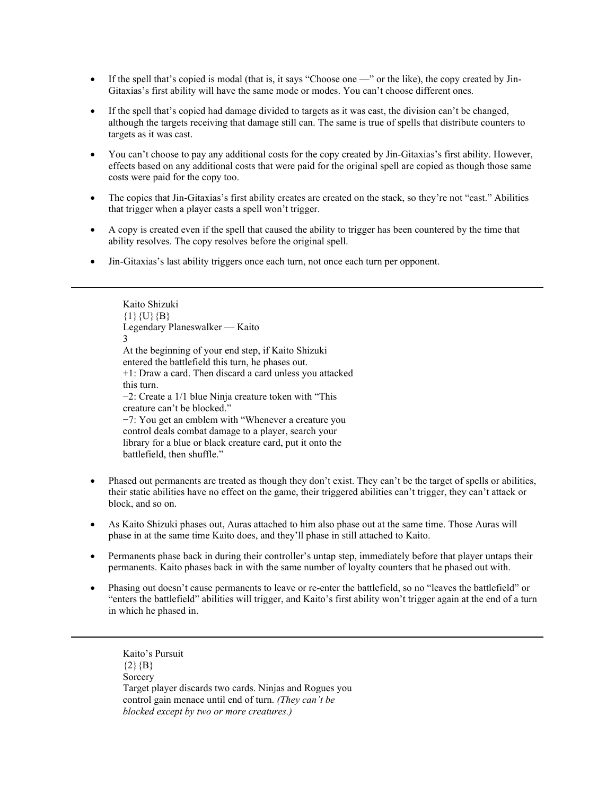- If the spell that's copied is modal (that is, it says "Choose one —" or the like), the copy created by Jin-Gitaxias's first ability will have the same mode or modes. You can't choose different ones.
- If the spell that's copied had damage divided to targets as it was cast, the division can't be changed, although the targets receiving that damage still can. The same is true of spells that distribute counters to targets as it was cast.
- You can't choose to pay any additional costs for the copy created by Jin-Gitaxias's first ability. However, effects based on any additional costs that were paid for the original spell are copied as though those same costs were paid for the copy too.
- The copies that Jin-Gitaxias's first ability creates are created on the stack, so they're not "cast." Abilities that trigger when a player casts a spell won't trigger.
- A copy is created even if the spell that caused the ability to trigger has been countered by the time that ability resolves. The copy resolves before the original spell.
- Jin-Gitaxias's last ability triggers once each turn, not once each turn per opponent.

Kaito Shizuki  ${1}{U}{B}$ Legendary Planeswalker — Kaito 3 At the beginning of your end step, if Kaito Shizuki entered the battlefield this turn, he phases out. +1: Draw a card. Then discard a card unless you attacked this turn. −2: Create a 1/1 blue Ninja creature token with "This creature can't be blocked." −7: You get an emblem with "Whenever a creature you control deals combat damage to a player, search your library for a blue or black creature card, put it onto the battlefield, then shuffle."

- Phased out permanents are treated as though they don't exist. They can't be the target of spells or abilities, their static abilities have no effect on the game, their triggered abilities can't trigger, they can't attack or block, and so on.
- As Kaito Shizuki phases out, Auras attached to him also phase out at the same time. Those Auras will phase in at the same time Kaito does, and they'll phase in still attached to Kaito.
- Permanents phase back in during their controller's untap step, immediately before that player untaps their permanents. Kaito phases back in with the same number of loyalty counters that he phased out with.
- Phasing out doesn't cause permanents to leave or re-enter the battlefield, so no "leaves the battlefield" or "enters the battlefield" abilities will trigger, and Kaito's first ability won't trigger again at the end of a turn in which he phased in.

Kaito's Pursuit  ${2}{B}$ Sorcery Target player discards two cards. Ninjas and Rogues you control gain menace until end of turn. *(They can't be blocked except by two or more creatures.)*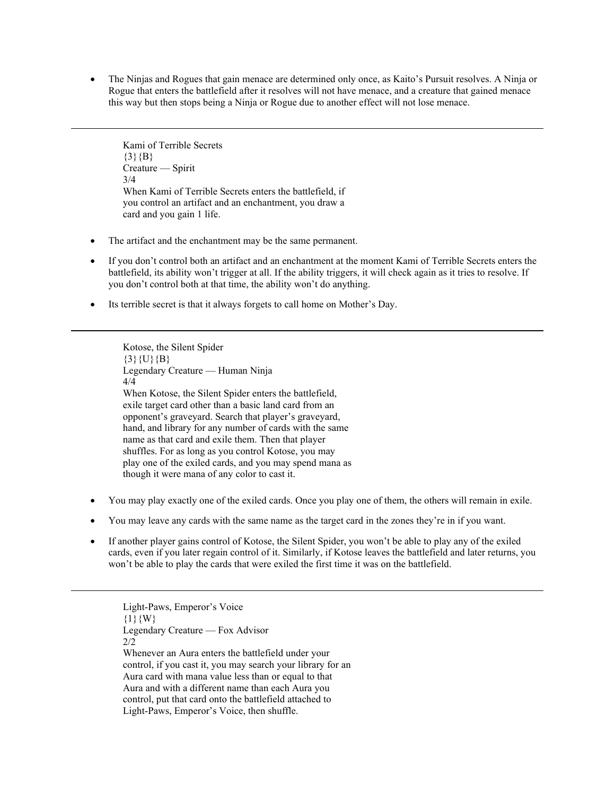• The Ninjas and Rogues that gain menace are determined only once, as Kaito's Pursuit resolves. A Ninja or Rogue that enters the battlefield after it resolves will not have menace, and a creature that gained menace this way but then stops being a Ninja or Rogue due to another effect will not lose menace.

Kami of Terrible Secrets  ${3}{B}$ Creature — Spirit 3/4 When Kami of Terrible Secrets enters the battlefield, if you control an artifact and an enchantment, you draw a card and you gain 1 life.

- The artifact and the enchantment may be the same permanent.
- If you don't control both an artifact and an enchantment at the moment Kami of Terrible Secrets enters the battlefield, its ability won't trigger at all. If the ability triggers, it will check again as it tries to resolve. If you don't control both at that time, the ability won't do anything.
- Its terrible secret is that it always forgets to call home on Mother's Day.

Kotose, the Silent Spider  $\{3\}$ {U}{B} Legendary Creature — Human Ninja 4/4 When Kotose, the Silent Spider enters the battlefield, exile target card other than a basic land card from an opponent's graveyard. Search that player's graveyard, hand, and library for any number of cards with the same name as that card and exile them. Then that player shuffles. For as long as you control Kotose, you may play one of the exiled cards, and you may spend mana as though it were mana of any color to cast it.

- You may play exactly one of the exiled cards. Once you play one of them, the others will remain in exile.
- You may leave any cards with the same name as the target card in the zones they're in if you want.
- If another player gains control of Kotose, the Silent Spider, you won't be able to play any of the exiled cards, even if you later regain control of it. Similarly, if Kotose leaves the battlefield and later returns, you won't be able to play the cards that were exiled the first time it was on the battlefield.

Light-Paws, Emperor's Voice  ${1}{W}$ Legendary Creature — Fox Advisor 2/2 Whenever an Aura enters the battlefield under your control, if you cast it, you may search your library for an Aura card with mana value less than or equal to that Aura and with a different name than each Aura you control, put that card onto the battlefield attached to Light-Paws, Emperor's Voice, then shuffle.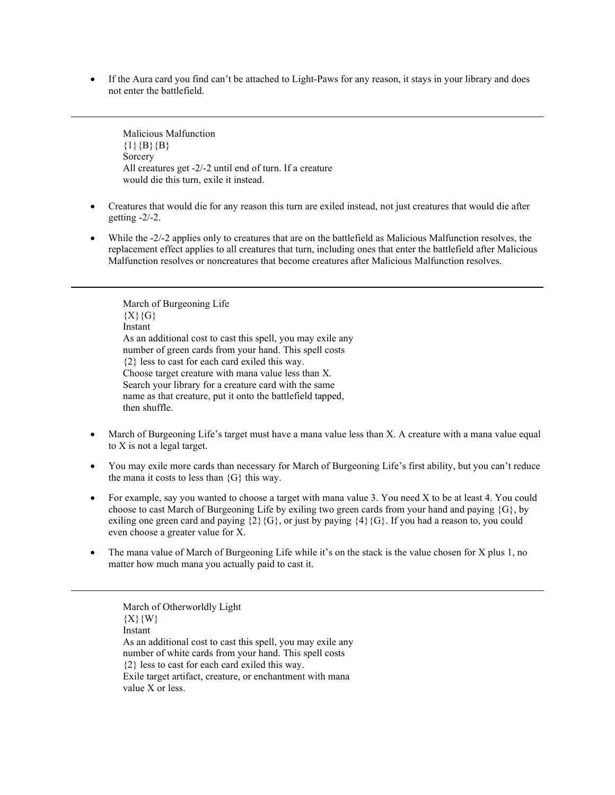• If the Aura card you find can't be attached to Light-Paws for any reason, it stays in your library and does not enter the battlefield.

Malicious Malfunction  ${1}{B}{B}$ Sorcery All creatures get -2/-2 until end of turn. If a creature would die this turn, exile it instead.

- Creatures that would die for any reason this turn are exiled instead, not just creatures that would die after getting -2/-2.
- While the -2/-2 applies only to creatures that are on the battlefield as Malicious Malfunction resolves, the replacement effect applies to all creatures that turn, including ones that enter the battlefield after Malicious Malfunction resolves or noncreatures that become creatures after Malicious Malfunction resolves.

March of Burgeoning Life  ${X}{G}$ Instant As an additional cost to cast this spell, you may exile any number of green cards from your hand. This spell costs {2} less to cast for each card exiled this way. Choose target creature with mana value less than X. Search your library for a creature card with the same name as that creature, put it onto the battlefield tapped, then shuffle.

- March of Burgeoning Life's target must have a mana value less than X. A creature with a mana value equal to X is not a legal target.
- You may exile more cards than necessary for March of Burgeoning Life's first ability, but you can't reduce the mana it costs to less than  ${G}$  this way.
- For example, say you wanted to choose a target with mana value 3. You need X to be at least 4. You could choose to cast March of Burgeoning Life by exiling two green cards from your hand and paying {G}, by exiling one green card and paying  $\{2\}\{G\}$ , or just by paying  $\{4\}\{G\}$ . If you had a reason to, you could even choose a greater value for X.
- The mana value of March of Burgeoning Life while it's on the stack is the value chosen for X plus 1, no matter how much mana you actually paid to cast it.

March of Otherworldly Light  ${X}{W}$ Instant As an additional cost to cast this spell, you may exile any number of white cards from your hand. This spell costs {2} less to cast for each card exiled this way. Exile target artifact, creature, or enchantment with mana value X or less.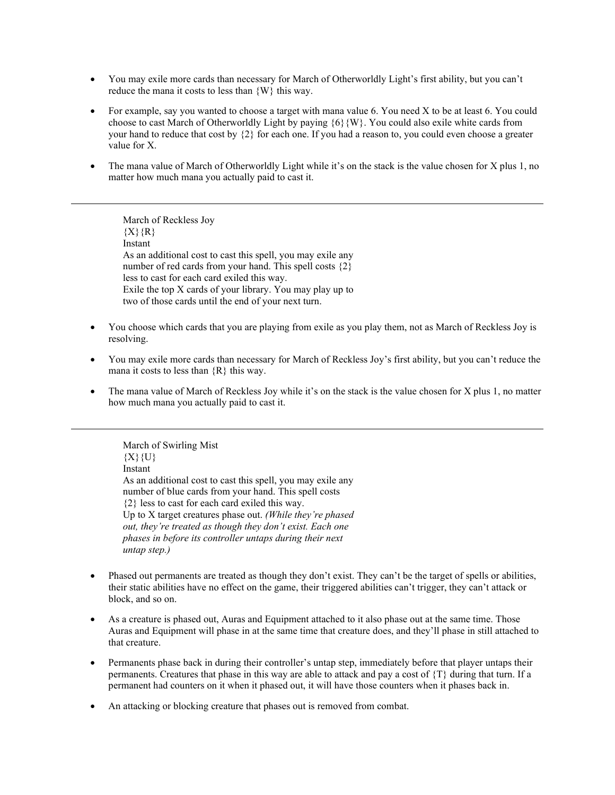- You may exile more cards than necessary for March of Otherworldly Light's first ability, but you can't reduce the mana it costs to less than {W} this way.
- For example, say you wanted to choose a target with mana value 6. You need X to be at least 6. You could choose to cast March of Otherworldly Light by paying  ${6}{W}$ . You could also exile white cards from your hand to reduce that cost by {2} for each one. If you had a reason to, you could even choose a greater value for X.
- The mana value of March of Otherworldly Light while it's on the stack is the value chosen for X plus 1, no matter how much mana you actually paid to cast it.

March of Reckless Joy  ${X}{R}$ Instant As an additional cost to cast this spell, you may exile any number of red cards from your hand. This spell costs  $\{2\}$ less to cast for each card exiled this way. Exile the top X cards of your library. You may play up to two of those cards until the end of your next turn.

- You choose which cards that you are playing from exile as you play them, not as March of Reckless Joy is resolving.
- You may exile more cards than necessary for March of Reckless Joy's first ability, but you can't reduce the mana it costs to less than  $\{R\}$  this way.
- The mana value of March of Reckless Joy while it's on the stack is the value chosen for X plus 1, no matter how much mana you actually paid to cast it.

March of Swirling Mist  ${X}{U}$ Instant As an additional cost to cast this spell, you may exile any number of blue cards from your hand. This spell costs {2} less to cast for each card exiled this way. Up to X target creatures phase out. *(While they're phased out, they're treated as though they don't exist. Each one phases in before its controller untaps during their next untap step.)*

- Phased out permanents are treated as though they don't exist. They can't be the target of spells or abilities, their static abilities have no effect on the game, their triggered abilities can't trigger, they can't attack or block, and so on.
- As a creature is phased out, Auras and Equipment attached to it also phase out at the same time. Those Auras and Equipment will phase in at the same time that creature does, and they'll phase in still attached to that creature.
- Permanents phase back in during their controller's untap step, immediately before that player untaps their permanents. Creatures that phase in this way are able to attack and pay a cost of {T} during that turn. If a permanent had counters on it when it phased out, it will have those counters when it phases back in.
- An attacking or blocking creature that phases out is removed from combat.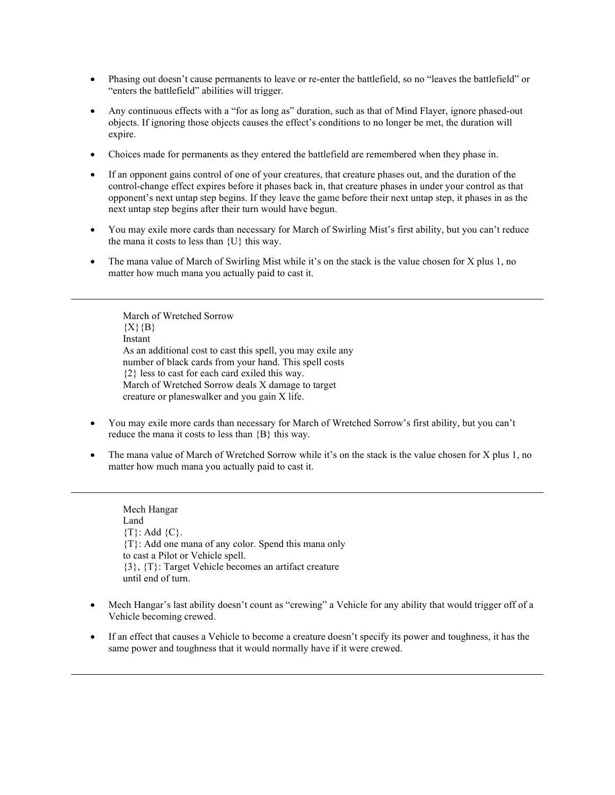- Phasing out doesn't cause permanents to leave or re-enter the battlefield, so no "leaves the battlefield" or "enters the battlefield" abilities will trigger.
- Any continuous effects with a "for as long as" duration, such as that of Mind Flayer, ignore phased-out objects. If ignoring those objects causes the effect's conditions to no longer be met, the duration will expire.
- Choices made for permanents as they entered the battlefield are remembered when they phase in.
- If an opponent gains control of one of your creatures, that creature phases out, and the duration of the control-change effect expires before it phases back in, that creature phases in under your control as that opponent's next untap step begins. If they leave the game before their next untap step, it phases in as the next untap step begins after their turn would have begun.
- You may exile more cards than necessary for March of Swirling Mist's first ability, but you can't reduce the mana it costs to less than {U} this way.
- The mana value of March of Swirling Mist while it's on the stack is the value chosen for X plus 1, no matter how much mana you actually paid to cast it.

March of Wretched Sorrow  ${X}{B}$ Instant As an additional cost to cast this spell, you may exile any number of black cards from your hand. This spell costs {2} less to cast for each card exiled this way. March of Wretched Sorrow deals X damage to target creature or planeswalker and you gain X life.

- You may exile more cards than necessary for March of Wretched Sorrow's first ability, but you can't reduce the mana it costs to less than {B} this way.
- The mana value of March of Wretched Sorrow while it's on the stack is the value chosen for X plus 1, no matter how much mana you actually paid to cast it.

Mech Hangar Land  ${T}$ : Add  ${C}$ . {T}: Add one mana of any color. Spend this mana only to cast a Pilot or Vehicle spell. {3}, {T}: Target Vehicle becomes an artifact creature until end of turn.

- Mech Hangar's last ability doesn't count as "crewing" a Vehicle for any ability that would trigger off of a Vehicle becoming crewed.
- If an effect that causes a Vehicle to become a creature doesn't specify its power and toughness, it has the same power and toughness that it would normally have if it were crewed.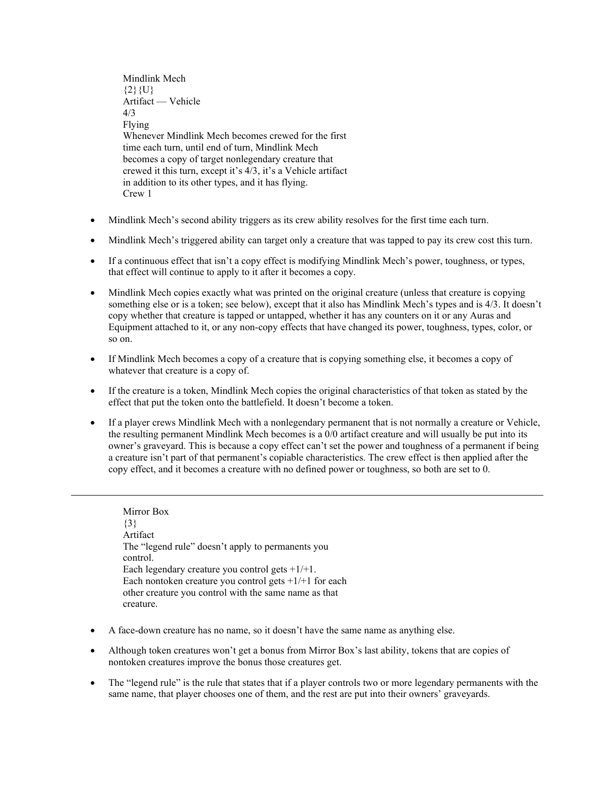Mindlink Mech  ${2}$ {U} Artifact — Vehicle  $\Delta/3$ Flying Whenever Mindlink Mech becomes crewed for the first time each turn, until end of turn, Mindlink Mech becomes a copy of target nonlegendary creature that crewed it this turn, except it's 4/3, it's a Vehicle artifact in addition to its other types, and it has flying. Crew 1

- Mindlink Mech's second ability triggers as its crew ability resolves for the first time each turn.
- Mindlink Mech's triggered ability can target only a creature that was tapped to pay its crew cost this turn.
- If a continuous effect that isn't a copy effect is modifying Mindlink Mech's power, toughness, or types, that effect will continue to apply to it after it becomes a copy.
- Mindlink Mech copies exactly what was printed on the original creature (unless that creature is copying something else or is a token; see below), except that it also has Mindlink Mech's types and is 4/3. It doesn't copy whether that creature is tapped or untapped, whether it has any counters on it or any Auras and Equipment attached to it, or any non-copy effects that have changed its power, toughness, types, color, or so on.
- If Mindlink Mech becomes a copy of a creature that is copying something else, it becomes a copy of whatever that creature is a copy of.
- If the creature is a token, Mindlink Mech copies the original characteristics of that token as stated by the effect that put the token onto the battlefield. It doesn't become a token.
- If a player crews Mindlink Mech with a nonlegendary permanent that is not normally a creature or Vehicle, the resulting permanent Mindlink Mech becomes is a 0/0 artifact creature and will usually be put into its owner's graveyard. This is because a copy effect can't set the power and toughness of a permanent if being a creature isn't part of that permanent's copiable characteristics. The crew effect is then applied after the copy effect, and it becomes a creature with no defined power or toughness, so both are set to 0.

Mirror Box {3} Artifact The "legend rule" doesn't apply to permanents you control. Each legendary creature you control gets  $+1/+1$ . Each nontoken creature you control gets  $+1/+1$  for each other creature you control with the same name as that creature.

- A face-down creature has no name, so it doesn't have the same name as anything else.
- Although token creatures won't get a bonus from Mirror Box's last ability, tokens that are copies of nontoken creatures improve the bonus those creatures get.
- The "legend rule" is the rule that states that if a player controls two or more legendary permanents with the same name, that player chooses one of them, and the rest are put into their owners' graveyards.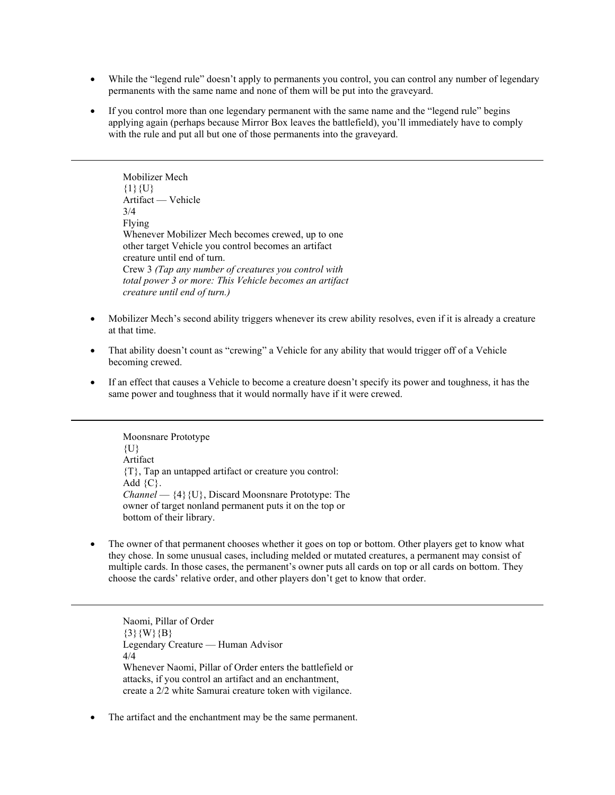- While the "legend rule" doesn't apply to permanents you control, you can control any number of legendary permanents with the same name and none of them will be put into the graveyard.
- If you control more than one legendary permanent with the same name and the "legend rule" begins applying again (perhaps because Mirror Box leaves the battlefield), you'll immediately have to comply with the rule and put all but one of those permanents into the graveyard.

Mobilizer Mech  ${1}$ {U} Artifact — Vehicle 3/4 Flying Whenever Mobilizer Mech becomes crewed, up to one other target Vehicle you control becomes an artifact creature until end of turn. Crew 3 *(Tap any number of creatures you control with total power 3 or more: This Vehicle becomes an artifact creature until end of turn.)*

- Mobilizer Mech's second ability triggers whenever its crew ability resolves, even if it is already a creature at that time.
- That ability doesn't count as "crewing" a Vehicle for any ability that would trigger off of a Vehicle becoming crewed.
- If an effect that causes a Vehicle to become a creature doesn't specify its power and toughness, it has the same power and toughness that it would normally have if it were crewed.

Moonsnare Prototype  ${U}$ Artifact {T}, Tap an untapped artifact or creature you control: Add  $\{C\}$ . *Channel* — {4}{U}, Discard Moonsnare Prototype: The owner of target nonland permanent puts it on the top or bottom of their library.

The owner of that permanent chooses whether it goes on top or bottom. Other players get to know what they chose. In some unusual cases, including melded or mutated creatures, a permanent may consist of multiple cards. In those cases, the permanent's owner puts all cards on top or all cards on bottom. They choose the cards' relative order, and other players don't get to know that order.

Naomi, Pillar of Order  $\{3\}\{W\}\{B\}$ Legendary Creature — Human Advisor 4/4 Whenever Naomi, Pillar of Order enters the battlefield or attacks, if you control an artifact and an enchantment, create a 2/2 white Samurai creature token with vigilance.

• The artifact and the enchantment may be the same permanent.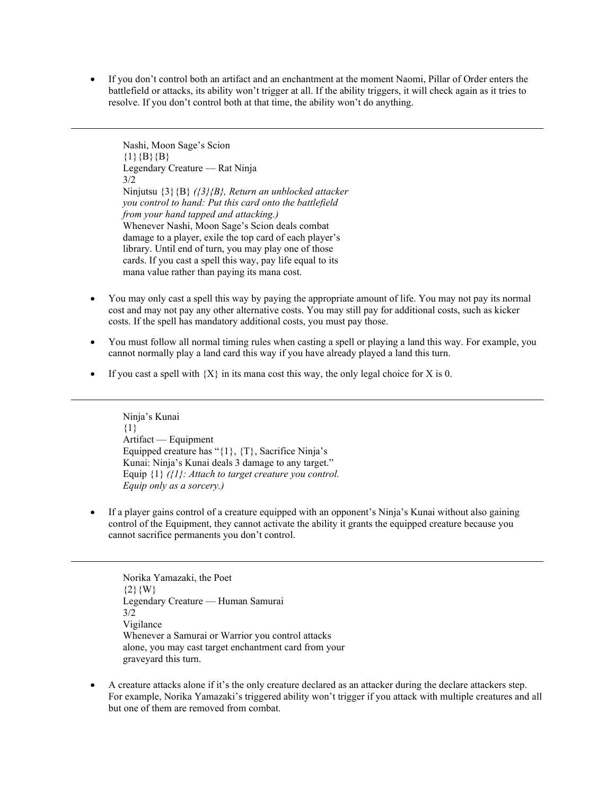• If you don't control both an artifact and an enchantment at the moment Naomi, Pillar of Order enters the battlefield or attacks, its ability won't trigger at all. If the ability triggers, it will check again as it tries to resolve. If you don't control both at that time, the ability won't do anything.

Nashi, Moon Sage's Scion  ${1}{B}{B}$ Legendary Creature — Rat Ninja 3/2 Ninjutsu {3}{B} *({3}{B}, Return an unblocked attacker you control to hand: Put this card onto the battlefield from your hand tapped and attacking.)* Whenever Nashi, Moon Sage's Scion deals combat damage to a player, exile the top card of each player's library. Until end of turn, you may play one of those cards. If you cast a spell this way, pay life equal to its mana value rather than paying its mana cost.

- You may only cast a spell this way by paying the appropriate amount of life. You may not pay its normal cost and may not pay any other alternative costs. You may still pay for additional costs, such as kicker costs. If the spell has mandatory additional costs, you must pay those.
- You must follow all normal timing rules when casting a spell or playing a land this way. For example, you cannot normally play a land card this way if you have already played a land this turn.
- If you cast a spell with  ${X}$  in its mana cost this way, the only legal choice for X is 0.

Ninja's Kunai  ${1}$ Artifact — Equipment Equipped creature has "{1}, {T}, Sacrifice Ninja's Kunai: Ninja's Kunai deals 3 damage to any target." Equip {1} *({1}: Attach to target creature you control. Equip only as a sorcery.)*

• If a player gains control of a creature equipped with an opponent's Ninja's Kunai without also gaining control of the Equipment, they cannot activate the ability it grants the equipped creature because you cannot sacrifice permanents you don't control.

Norika Yamazaki, the Poet  ${2}{W}$ Legendary Creature — Human Samurai 3/2 Vigilance Whenever a Samurai or Warrior you control attacks alone, you may cast target enchantment card from your graveyard this turn.

• A creature attacks alone if it's the only creature declared as an attacker during the declare attackers step. For example, Norika Yamazaki's triggered ability won't trigger if you attack with multiple creatures and all but one of them are removed from combat.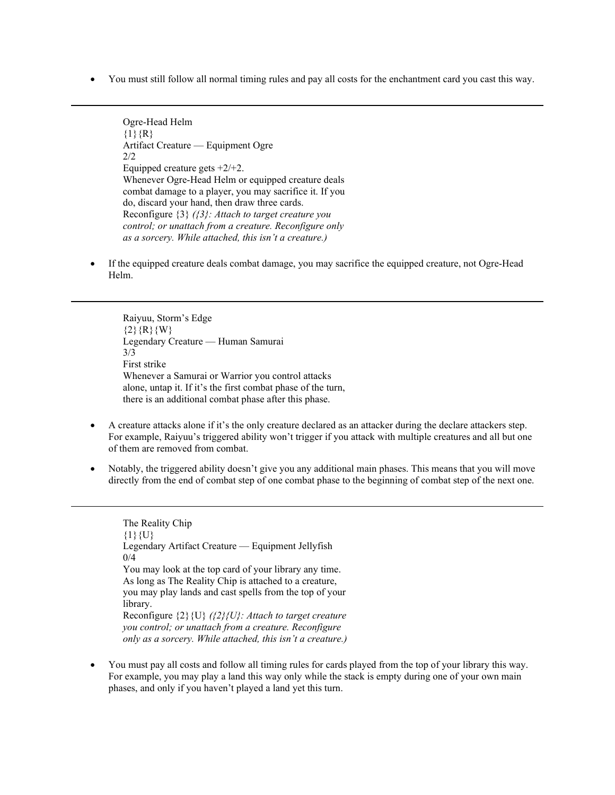• You must still follow all normal timing rules and pay all costs for the enchantment card you cast this way.

Ogre-Head Helm  ${1}{R}$ Artifact Creature — Equipment Ogre  $2/2$ Equipped creature gets +2/+2. Whenever Ogre-Head Helm or equipped creature deals combat damage to a player, you may sacrifice it. If you do, discard your hand, then draw three cards. Reconfigure {3} *({3}: Attach to target creature you control; or unattach from a creature. Reconfigure only as a sorcery. While attached, this isn't a creature.)*

If the equipped creature deals combat damage, you may sacrifice the equipped creature, not Ogre-Head Helm.

Raiyuu, Storm's Edge  ${2}{R}{W}$ Legendary Creature — Human Samurai 3/3 First strike Whenever a Samurai or Warrior you control attacks alone, untap it. If it's the first combat phase of the turn, there is an additional combat phase after this phase.

- A creature attacks alone if it's the only creature declared as an attacker during the declare attackers step. For example, Raiyuu's triggered ability won't trigger if you attack with multiple creatures and all but one of them are removed from combat.
- Notably, the triggered ability doesn't give you any additional main phases. This means that you will move directly from the end of combat step of one combat phase to the beginning of combat step of the next one.

The Reality Chip  $\{1\}\{U\}$ Legendary Artifact Creature — Equipment Jellyfish 0/4 You may look at the top card of your library any time. As long as The Reality Chip is attached to a creature, you may play lands and cast spells from the top of your library. Reconfigure {2}{U} *({2}{U}: Attach to target creature you control; or unattach from a creature. Reconfigure only as a sorcery. While attached, this isn't a creature.)*

• You must pay all costs and follow all timing rules for cards played from the top of your library this way. For example, you may play a land this way only while the stack is empty during one of your own main phases, and only if you haven't played a land yet this turn.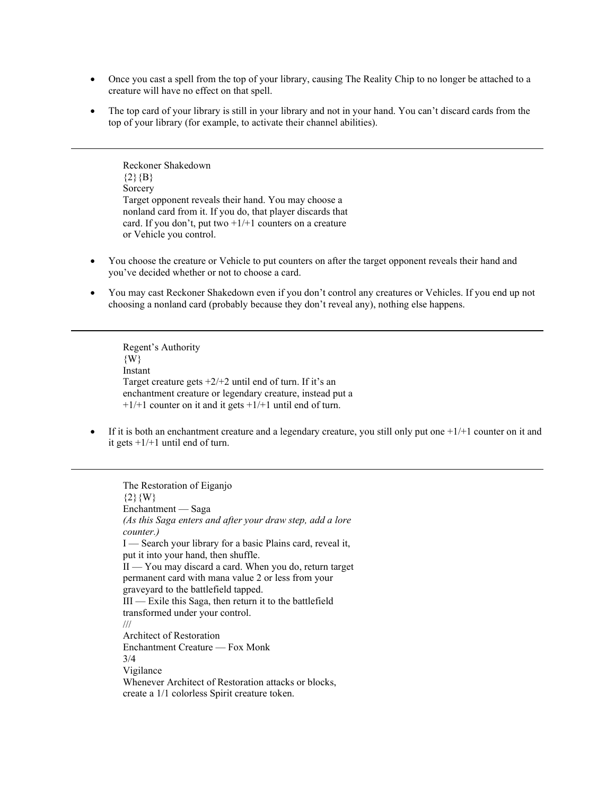- Once you cast a spell from the top of your library, causing The Reality Chip to no longer be attached to a creature will have no effect on that spell.
- The top card of your library is still in your library and not in your hand. You can't discard cards from the top of your library (for example, to activate their channel abilities).

Reckoner Shakedown  ${2}{B}$ Sorcery Target opponent reveals their hand. You may choose a nonland card from it. If you do, that player discards that card. If you don't, put two  $+1/+1$  counters on a creature or Vehicle you control.

- You choose the creature or Vehicle to put counters on after the target opponent reveals their hand and you've decided whether or not to choose a card.
- You may cast Reckoner Shakedown even if you don't control any creatures or Vehicles. If you end up not choosing a nonland card (probably because they don't reveal any), nothing else happens.

Regent's Authority {W} Instant Target creature gets  $+2/+2$  until end of turn. If it's an enchantment creature or legendary creature, instead put a  $+1/+1$  counter on it and it gets  $+1/+1$  until end of turn.

If it is both an enchantment creature and a legendary creature, you still only put one  $+1/+1$  counter on it and it gets  $+1/+1$  until end of turn.

The Restoration of Eiganjo  ${2}{W}$ Enchantment — Saga *(As this Saga enters and after your draw step, add a lore counter.)* I — Search your library for a basic Plains card, reveal it, put it into your hand, then shuffle. II — You may discard a card. When you do, return target permanent card with mana value 2 or less from your graveyard to the battlefield tapped. III — Exile this Saga, then return it to the battlefield transformed under your control. /// Architect of Restoration Enchantment Creature — Fox Monk 3/4 Vigilance Whenever Architect of Restoration attacks or blocks, create a 1/1 colorless Spirit creature token.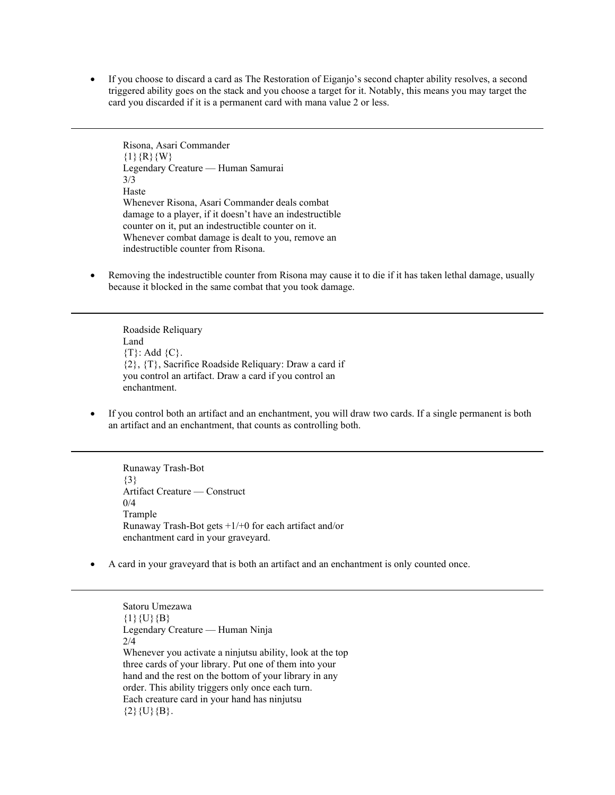• If you choose to discard a card as The Restoration of Eiganjo's second chapter ability resolves, a second triggered ability goes on the stack and you choose a target for it. Notably, this means you may target the card you discarded if it is a permanent card with mana value 2 or less.

Risona, Asari Commander  ${1}{R}{R}{W}$ Legendary Creature — Human Samurai 3/3 Haste Whenever Risona, Asari Commander deals combat damage to a player, if it doesn't have an indestructible counter on it, put an indestructible counter on it. Whenever combat damage is dealt to you, remove an indestructible counter from Risona.

• Removing the indestructible counter from Risona may cause it to die if it has taken lethal damage, usually because it blocked in the same combat that you took damage.

Roadside Reliquary Land {T}: Add {C}. {2}, {T}, Sacrifice Roadside Reliquary: Draw a card if you control an artifact. Draw a card if you control an enchantment.

• If you control both an artifact and an enchantment, you will draw two cards. If a single permanent is both an artifact and an enchantment, that counts as controlling both.

Runaway Trash-Bot {3} Artifact Creature — Construct 0/4 Trample Runaway Trash-Bot gets +1/+0 for each artifact and/or enchantment card in your graveyard.

• A card in your graveyard that is both an artifact and an enchantment is only counted once.

Satoru Umezawa  ${1}{U}{B}$ Legendary Creature — Human Ninja 2/4 Whenever you activate a ninjutsu ability, look at the top three cards of your library. Put one of them into your hand and the rest on the bottom of your library in any order. This ability triggers only once each turn. Each creature card in your hand has ninjutsu  ${2}{U}{B}.$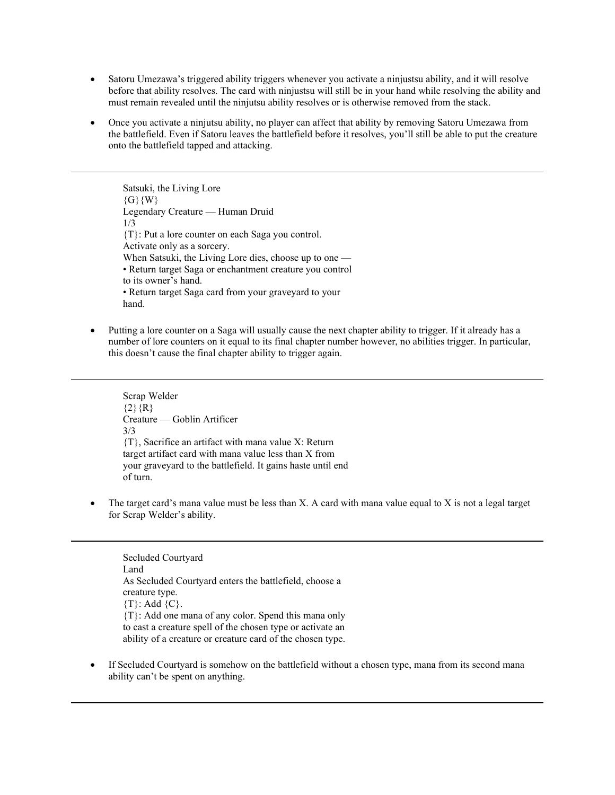- Satoru Umezawa's triggered ability triggers whenever you activate a ninjustsu ability, and it will resolve before that ability resolves. The card with ninjustsu will still be in your hand while resolving the ability and must remain revealed until the ninjutsu ability resolves or is otherwise removed from the stack.
- Once you activate a ninjutsu ability, no player can affect that ability by removing Satoru Umezawa from the battlefield. Even if Satoru leaves the battlefield before it resolves, you'll still be able to put the creature onto the battlefield tapped and attacking.

Satsuki, the Living Lore  $\{G\}\{W\}$ Legendary Creature — Human Druid 1/3 {T}: Put a lore counter on each Saga you control. Activate only as a sorcery. When Satsuki, the Living Lore dies, choose up to one — • Return target Saga or enchantment creature you control to its owner's hand. • Return target Saga card from your graveyard to your hand.

• Putting a lore counter on a Saga will usually cause the next chapter ability to trigger. If it already has a number of lore counters on it equal to its final chapter number however, no abilities trigger. In particular, this doesn't cause the final chapter ability to trigger again.

Scrap Welder  ${2}$ {R} Creature — Goblin Artificer 3/3 {T}, Sacrifice an artifact with mana value X: Return target artifact card with mana value less than X from your graveyard to the battlefield. It gains haste until end of turn.

• The target card's mana value must be less than X. A card with mana value equal to X is not a legal target for Scrap Welder's ability.

Secluded Courtyard Land As Secluded Courtyard enters the battlefield, choose a creature type.  ${T}$ : Add  ${C}$ . {T}: Add one mana of any color. Spend this mana only to cast a creature spell of the chosen type or activate an ability of a creature or creature card of the chosen type.

If Secluded Courtyard is somehow on the battlefield without a chosen type, mana from its second mana ability can't be spent on anything.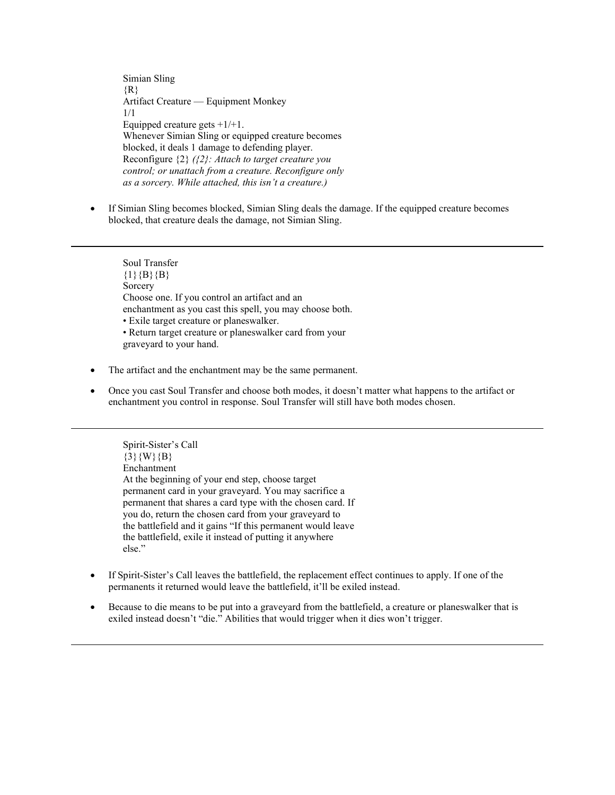Simian Sling  $\{R\}$ Artifact Creature — Equipment Monkey 1/1 Equipped creature gets  $+1/+1$ . Whenever Simian Sling or equipped creature becomes blocked, it deals 1 damage to defending player. Reconfigure {2} *({2}: Attach to target creature you control; or unattach from a creature. Reconfigure only as a sorcery. While attached, this isn't a creature.)*

• If Simian Sling becomes blocked, Simian Sling deals the damage. If the equipped creature becomes blocked, that creature deals the damage, not Simian Sling.

Soul Transfer  ${1}{B}{B}{B}$ Sorcery Choose one. If you control an artifact and an enchantment as you cast this spell, you may choose both. • Exile target creature or planeswalker. • Return target creature or planeswalker card from your graveyard to your hand.

- The artifact and the enchantment may be the same permanent.
- Once you cast Soul Transfer and choose both modes, it doesn't matter what happens to the artifact or enchantment you control in response. Soul Transfer will still have both modes chosen.

Spirit-Sister's Call  $\{3\}$ {W}{B} Enchantment At the beginning of your end step, choose target permanent card in your graveyard. You may sacrifice a permanent that shares a card type with the chosen card. If you do, return the chosen card from your graveyard to the battlefield and it gains "If this permanent would leave the battlefield, exile it instead of putting it anywhere else."

- If Spirit-Sister's Call leaves the battlefield, the replacement effect continues to apply. If one of the permanents it returned would leave the battlefield, it'll be exiled instead.
- Because to die means to be put into a graveyard from the battlefield, a creature or planeswalker that is exiled instead doesn't "die." Abilities that would trigger when it dies won't trigger.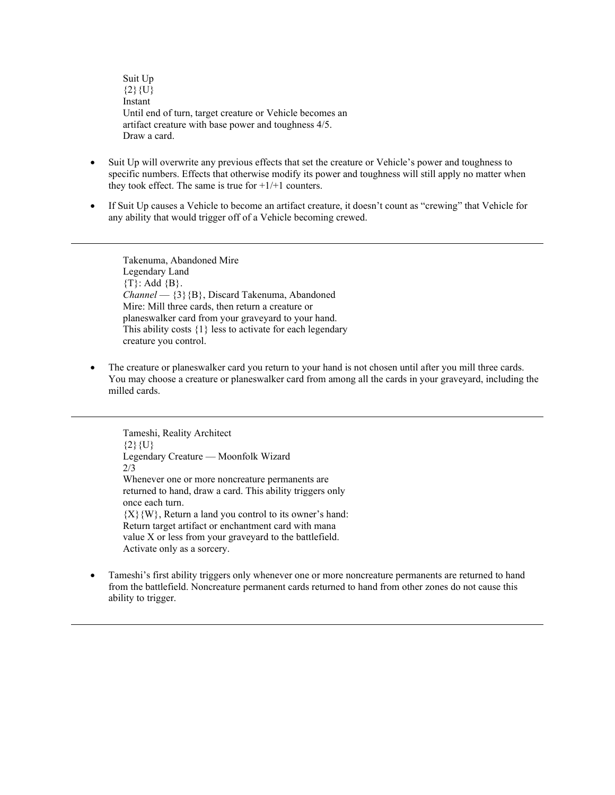Suit Up  ${2}{U}$ Instant Until end of turn, target creature or Vehicle becomes an artifact creature with base power and toughness 4/5. Draw a card.

- Suit Up will overwrite any previous effects that set the creature or Vehicle's power and toughness to specific numbers. Effects that otherwise modify its power and toughness will still apply no matter when they took effect. The same is true for  $+1/+1$  counters.
- If Suit Up causes a Vehicle to become an artifact creature, it doesn't count as "crewing" that Vehicle for any ability that would trigger off of a Vehicle becoming crewed.

Takenuma, Abandoned Mire Legendary Land  $\{T\}$ : Add  $\{B\}$ . *Channel* — {3}{B}, Discard Takenuma, Abandoned Mire: Mill three cards, then return a creature or planeswalker card from your graveyard to your hand. This ability costs {1} less to activate for each legendary creature you control.

• The creature or planeswalker card you return to your hand is not chosen until after you mill three cards. You may choose a creature or planeswalker card from among all the cards in your graveyard, including the milled cards.

Tameshi, Reality Architect  ${2}{U}$ Legendary Creature — Moonfolk Wizard 2/3 Whenever one or more noncreature permanents are returned to hand, draw a card. This ability triggers only once each turn.  ${X}$ {W}, Return a land you control to its owner's hand: Return target artifact or enchantment card with mana value X or less from your graveyard to the battlefield. Activate only as a sorcery.

• Tameshi's first ability triggers only whenever one or more noncreature permanents are returned to hand from the battlefield. Noncreature permanent cards returned to hand from other zones do not cause this ability to trigger.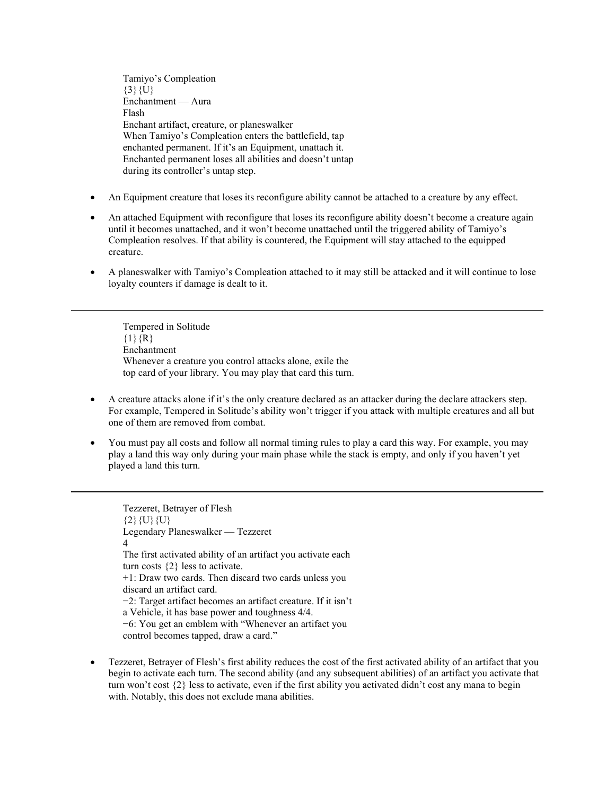Tamiyo's Compleation  ${3}$ {U} Enchantment — Aura Flash Enchant artifact, creature, or planeswalker When Tamiyo's Compleation enters the battlefield, tap enchanted permanent. If it's an Equipment, unattach it. Enchanted permanent loses all abilities and doesn't untap during its controller's untap step.

- An Equipment creature that loses its reconfigure ability cannot be attached to a creature by any effect.
- An attached Equipment with reconfigure that loses its reconfigure ability doesn't become a creature again until it becomes unattached, and it won't become unattached until the triggered ability of Tamiyo's Compleation resolves. If that ability is countered, the Equipment will stay attached to the equipped creature.
- A planeswalker with Tamiyo's Compleation attached to it may still be attacked and it will continue to lose loyalty counters if damage is dealt to it.

Tempered in Solitude  ${1}{R}$ Enchantment Whenever a creature you control attacks alone, exile the top card of your library. You may play that card this turn.

- A creature attacks alone if it's the only creature declared as an attacker during the declare attackers step. For example, Tempered in Solitude's ability won't trigger if you attack with multiple creatures and all but one of them are removed from combat.
- You must pay all costs and follow all normal timing rules to play a card this way. For example, you may play a land this way only during your main phase while the stack is empty, and only if you haven't yet played a land this turn.

Tezzeret, Betrayer of Flesh  ${2}{U}{U}{U}$ Legendary Planeswalker — Tezzeret 4 The first activated ability of an artifact you activate each turn costs {2} less to activate. +1: Draw two cards. Then discard two cards unless you discard an artifact card. −2: Target artifact becomes an artifact creature. If it isn't a Vehicle, it has base power and toughness 4/4. −6: You get an emblem with "Whenever an artifact you control becomes tapped, draw a card."

• Tezzeret, Betrayer of Flesh's first ability reduces the cost of the first activated ability of an artifact that you begin to activate each turn. The second ability (and any subsequent abilities) of an artifact you activate that turn won't cost {2} less to activate, even if the first ability you activated didn't cost any mana to begin with. Notably, this does not exclude mana abilities.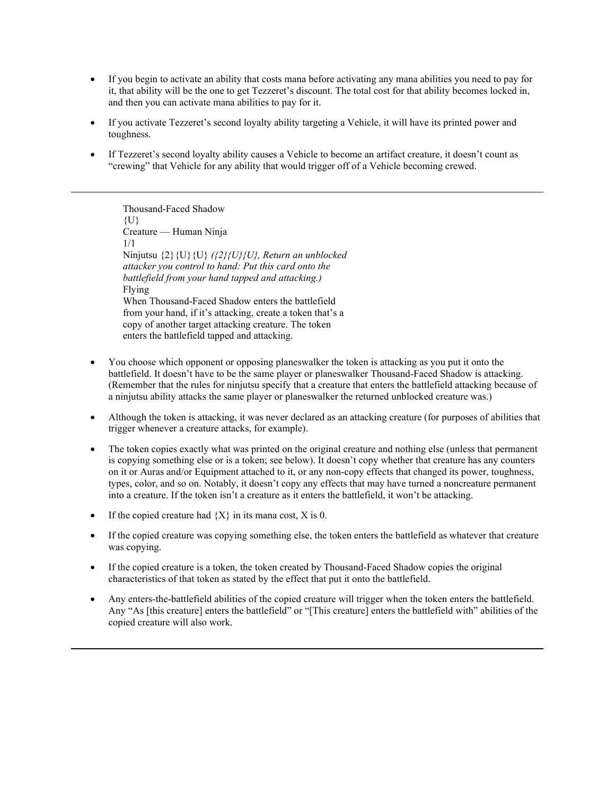- If you begin to activate an ability that costs mana before activating any mana abilities you need to pay for it, that ability will be the one to get Tezzeret's discount. The total cost for that ability becomes locked in, and then you can activate mana abilities to pay for it.
- If you activate Tezzeret's second loyalty ability targeting a Vehicle, it will have its printed power and toughness.
- If Tezzeret's second loyalty ability causes a Vehicle to become an artifact creature, it doesn't count as "crewing" that Vehicle for any ability that would trigger off of a Vehicle becoming crewed.

Thousand-Faced Shadow  ${U}$ Creature — Human Ninja 1/1 Ninjutsu {2}{U}{U} *({2}{U}{U}, Return an unblocked attacker you control to hand: Put this card onto the battlefield from your hand tapped and attacking.)* Flying When Thousand-Faced Shadow enters the battlefield from your hand, if it's attacking, create a token that's a copy of another target attacking creature. The token enters the battlefield tapped and attacking.

- You choose which opponent or opposing planeswalker the token is attacking as you put it onto the battlefield. It doesn't have to be the same player or planeswalker Thousand-Faced Shadow is attacking. (Remember that the rules for ninjutsu specify that a creature that enters the battlefield attacking because of a ninjutsu ability attacks the same player or planeswalker the returned unblocked creature was.)
- Although the token is attacking, it was never declared as an attacking creature (for purposes of abilities that trigger whenever a creature attacks, for example).
- The token copies exactly what was printed on the original creature and nothing else (unless that permanent is copying something else or is a token; see below). It doesn't copy whether that creature has any counters on it or Auras and/or Equipment attached to it, or any non-copy effects that changed its power, toughness, types, color, and so on. Notably, it doesn't copy any effects that may have turned a noncreature permanent into a creature. If the token isn't a creature as it enters the battlefield, it won't be attacking.
- If the copied creature had  ${X}$  in its mana cost, X is 0.
- If the copied creature was copying something else, the token enters the battlefield as whatever that creature was copying.
- If the copied creature is a token, the token created by Thousand-Faced Shadow copies the original characteristics of that token as stated by the effect that put it onto the battlefield.
- Any enters-the-battlefield abilities of the copied creature will trigger when the token enters the battlefield. Any "As [this creature] enters the battlefield" or "[This creature] enters the battlefield with" abilities of the copied creature will also work.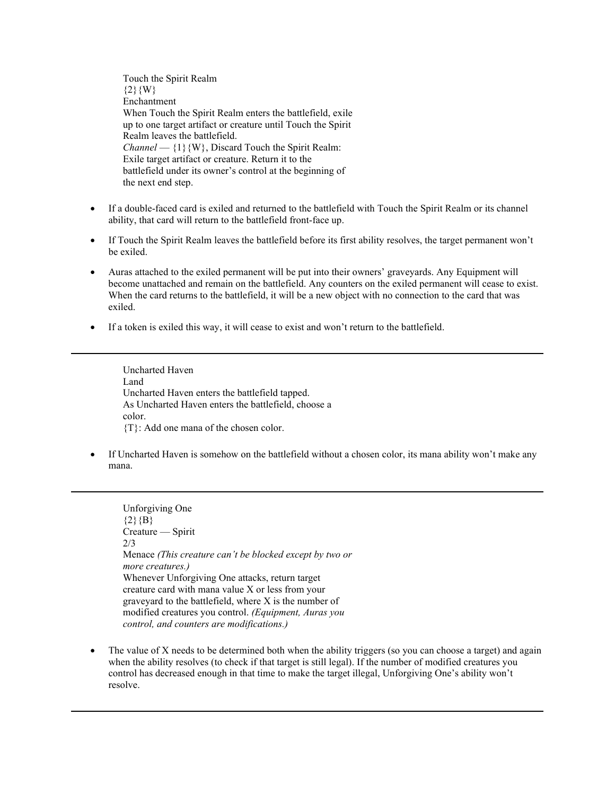Touch the Spirit Realm  ${2}{W}$ Enchantment When Touch the Spirit Realm enters the battlefield, exile up to one target artifact or creature until Touch the Spirit Realm leaves the battlefield. *Channel* —  $\{1\}$ {W}, Discard Touch the Spirit Realm: Exile target artifact or creature. Return it to the battlefield under its owner's control at the beginning of the next end step.

- If a double-faced card is exiled and returned to the battlefield with Touch the Spirit Realm or its channel ability, that card will return to the battlefield front-face up.
- If Touch the Spirit Realm leaves the battlefield before its first ability resolves, the target permanent won't be exiled.
- Auras attached to the exiled permanent will be put into their owners' graveyards. Any Equipment will become unattached and remain on the battlefield. Any counters on the exiled permanent will cease to exist. When the card returns to the battlefield, it will be a new object with no connection to the card that was exiled.
- If a token is exiled this way, it will cease to exist and won't return to the battlefield.

Uncharted Haven Land Uncharted Haven enters the battlefield tapped. As Uncharted Haven enters the battlefield, choose a color. {T}: Add one mana of the chosen color.

• If Uncharted Haven is somehow on the battlefield without a chosen color, its mana ability won't make any mana.

Unforgiving One  ${2}{B}$ Creature — Spirit 2/3 Menace *(This creature can't be blocked except by two or more creatures.)* Whenever Unforgiving One attacks, return target creature card with mana value X or less from your graveyard to the battlefield, where X is the number of modified creatures you control. *(Equipment, Auras you control, and counters are modifications.)*

• The value of X needs to be determined both when the ability triggers (so you can choose a target) and again when the ability resolves (to check if that target is still legal). If the number of modified creatures you control has decreased enough in that time to make the target illegal, Unforgiving One's ability won't resolve.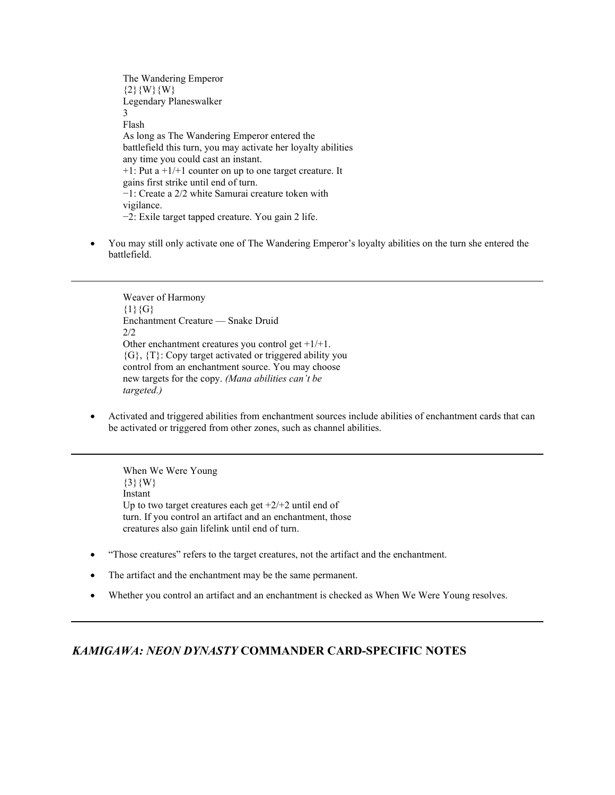The Wandering Emperor  ${2}$ {W}{W} Legendary Planeswalker 3 Flash As long as The Wandering Emperor entered the battlefield this turn, you may activate her loyalty abilities any time you could cast an instant.  $+1$ : Put a  $+1/+1$  counter on up to one target creature. It gains first strike until end of turn. −1: Create a 2/2 white Samurai creature token with vigilance. −2: Exile target tapped creature. You gain 2 life.

• You may still only activate one of The Wandering Emperor's loyalty abilities on the turn she entered the battlefield.

Weaver of Harmony  ${1}{G}$ Enchantment Creature — Snake Druid 2/2 Other enchantment creatures you control get +1/+1.  ${G}$ ,  ${T}$ : Copy target activated or triggered ability you control from an enchantment source. You may choose new targets for the copy. *(Mana abilities can't be targeted.)*

• Activated and triggered abilities from enchantment sources include abilities of enchantment cards that can be activated or triggered from other zones, such as channel abilities.

When We Were Young  $\{3\}$ {W} Instant Up to two target creatures each get  $+2/+2$  until end of turn. If you control an artifact and an enchantment, those creatures also gain lifelink until end of turn.

- "Those creatures" refers to the target creatures, not the artifact and the enchantment.
- The artifact and the enchantment may be the same permanent.
- Whether you control an artifact and an enchantment is checked as When We Were Young resolves.

## *KAMIGAWA: NEON DYNASTY* **COMMANDER CARD-SPECIFIC NOTES**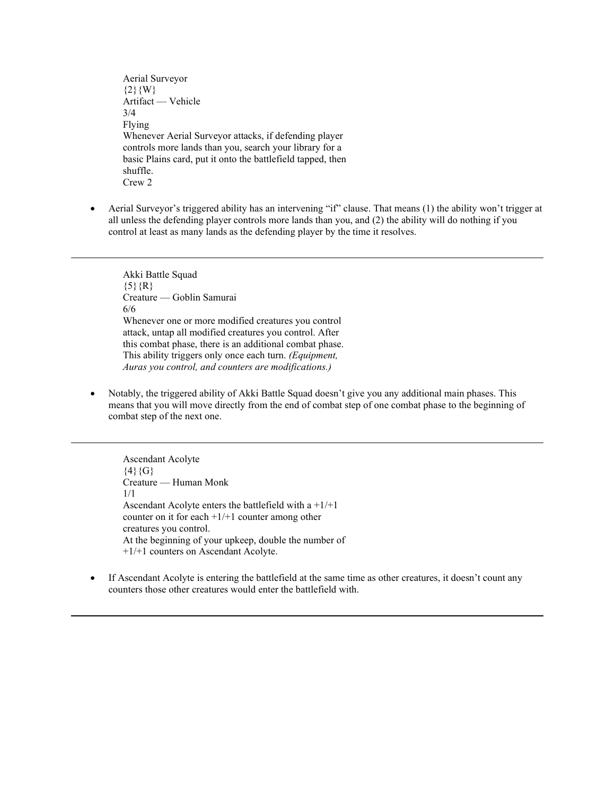Aerial Surveyor  ${2}$ {W} Artifact — Vehicle 3/4 Flying Whenever Aerial Surveyor attacks, if defending player controls more lands than you, search your library for a basic Plains card, put it onto the battlefield tapped, then shuffle. Crew 2

• Aerial Surveyor's triggered ability has an intervening "if" clause. That means (1) the ability won't trigger at all unless the defending player controls more lands than you, and (2) the ability will do nothing if you control at least as many lands as the defending player by the time it resolves.

Akki Battle Squad  $\{5\}$   $\{R\}$ Creature — Goblin Samurai 6/6 Whenever one or more modified creatures you control attack, untap all modified creatures you control. After this combat phase, there is an additional combat phase. This ability triggers only once each turn. *(Equipment, Auras you control, and counters are modifications.)*

• Notably, the triggered ability of Akki Battle Squad doesn't give you any additional main phases. This means that you will move directly from the end of combat step of one combat phase to the beginning of combat step of the next one.

Ascendant Acolyte  $\{4\}\{G\}$ Creature — Human Monk 1/1 Ascendant Acolyte enters the battlefield with  $a + 1/+1$ counter on it for each  $+1/+1$  counter among other creatures you control. At the beginning of your upkeep, double the number of +1/+1 counters on Ascendant Acolyte.

• If Ascendant Acolyte is entering the battlefield at the same time as other creatures, it doesn't count any counters those other creatures would enter the battlefield with.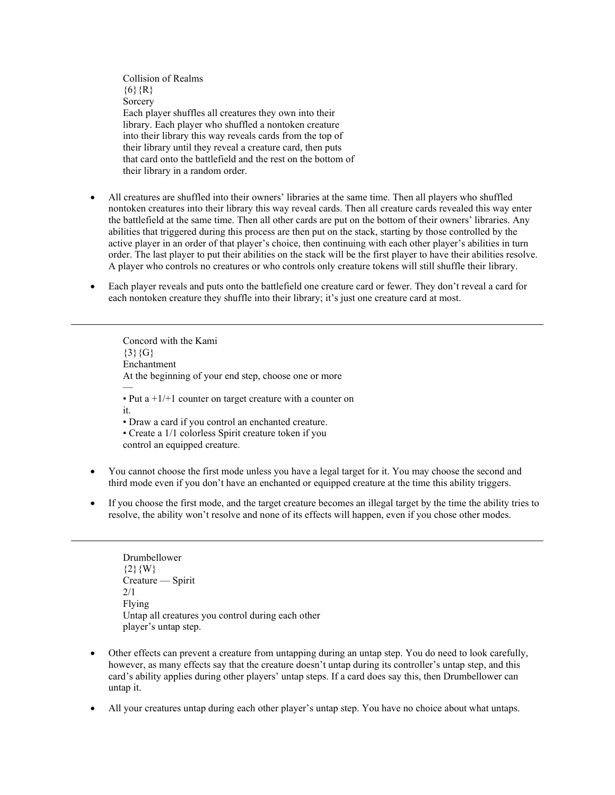Collision of Realms  ${6}$  {R} **Sorcery** Each player shuffles all creatures they own into their library. Each player who shuffled a nontoken creature into their library this way reveals cards from the top of their library until they reveal a creature card, then puts that card onto the battlefield and the rest on the bottom of their library in a random order.

- All creatures are shuffled into their owners' libraries at the same time. Then all players who shuffled nontoken creatures into their library this way reveal cards. Then all creature cards revealed this way enter the battlefield at the same time. Then all other cards are put on the bottom of their owners' libraries. Any abilities that triggered during this process are then put on the stack, starting by those controlled by the active player in an order of that player's choice, then continuing with each other player's abilities in turn order. The last player to put their abilities on the stack will be the first player to have their abilities resolve. A player who controls no creatures or who controls only creature tokens will still shuffle their library.
- Each player reveals and puts onto the battlefield one creature card or fewer. They don't reveal a card for each nontoken creature they shuffle into their library; it's just one creature card at most.

Concord with the Kami  ${3}{G}$ Enchantment At the beginning of your end step, choose one or more — • Put  $a + 1/1$  counter on target creature with a counter on it. • Draw a card if you control an enchanted creature. • Create a 1/1 colorless Spirit creature token if you control an equipped creature.

- You cannot choose the first mode unless you have a legal target for it. You may choose the second and third mode even if you don't have an enchanted or equipped creature at the time this ability triggers.
- If you choose the first mode, and the target creature becomes an illegal target by the time the ability tries to resolve, the ability won't resolve and none of its effects will happen, even if you chose other modes.

Drumbellower  ${2}{W}$ Creature — Spirit 2/1 Flying Untap all creatures you control during each other player's untap step.

- Other effects can prevent a creature from untapping during an untap step. You do need to look carefully, however, as many effects say that the creature doesn't untap during its controller's untap step, and this card's ability applies during other players' untap steps. If a card does say this, then Drumbellower can untap it.
- All your creatures untap during each other player's untap step. You have no choice about what untaps.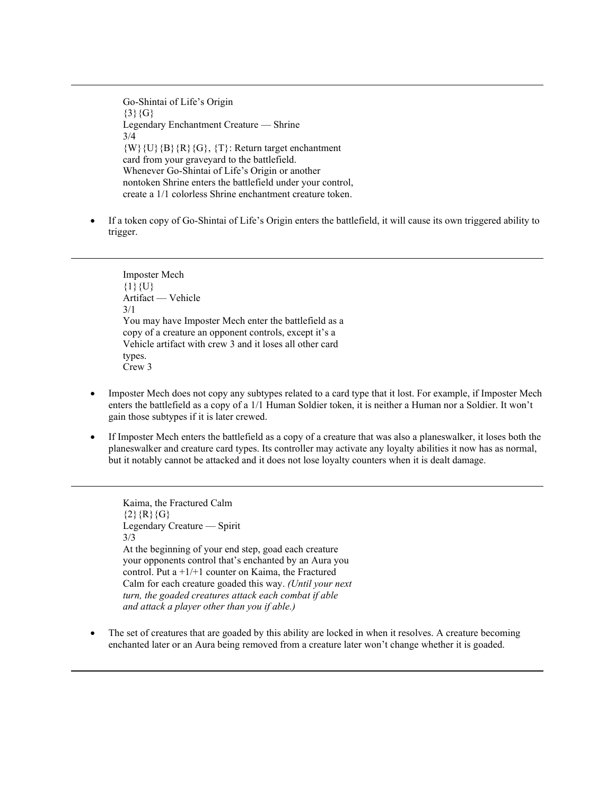Go-Shintai of Life's Origin  $\{3\}\{G\}$ Legendary Enchantment Creature — Shrine 3/4  $\{W\}\{U\}\{B\}\{R\}\{G\},\{T\}$ : Return target enchantment card from your graveyard to the battlefield. Whenever Go-Shintai of Life's Origin or another nontoken Shrine enters the battlefield under your control, create a 1/1 colorless Shrine enchantment creature token.

• If a token copy of Go-Shintai of Life's Origin enters the battlefield, it will cause its own triggered ability to trigger.

Imposter Mech  ${1}{U}$ Artifact — Vehicle 3/1 You may have Imposter Mech enter the battlefield as a copy of a creature an opponent controls, except it's a Vehicle artifact with crew 3 and it loses all other card types. Crew 3

- Imposter Mech does not copy any subtypes related to a card type that it lost. For example, if Imposter Mech enters the battlefield as a copy of a 1/1 Human Soldier token, it is neither a Human nor a Soldier. It won't gain those subtypes if it is later crewed.
- If Imposter Mech enters the battlefield as a copy of a creature that was also a planeswalker, it loses both the planeswalker and creature card types. Its controller may activate any loyalty abilities it now has as normal, but it notably cannot be attacked and it does not lose loyalty counters when it is dealt damage.

Kaima, the Fractured Calm  ${2}{R}{G}$ Legendary Creature — Spirit 3/3 At the beginning of your end step, goad each creature your opponents control that's enchanted by an Aura you control. Put a  $+1/+1$  counter on Kaima, the Fractured Calm for each creature goaded this way. *(Until your next turn, the goaded creatures attack each combat if able and attack a player other than you if able.)*

The set of creatures that are goaded by this ability are locked in when it resolves. A creature becoming enchanted later or an Aura being removed from a creature later won't change whether it is goaded.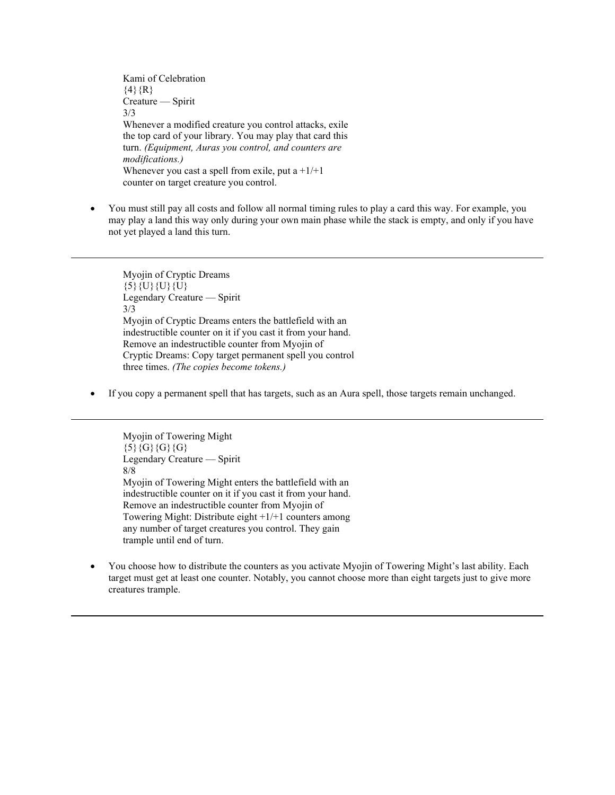Kami of Celebration  $\{4\}$  $\{R\}$ Creature — Spirit 3/3 Whenever a modified creature you control attacks, exile the top card of your library. You may play that card this turn. *(Equipment, Auras you control, and counters are modifications.)* Whenever you cast a spell from exile, put  $a + 1/+1$ counter on target creature you control.

• You must still pay all costs and follow all normal timing rules to play a card this way. For example, you may play a land this way only during your own main phase while the stack is empty, and only if you have not yet played a land this turn.

Myojin of Cryptic Dreams  $\{5\}\{U\}\{U\}\{U\}$ Legendary Creature — Spirit 3/3 Myojin of Cryptic Dreams enters the battlefield with an indestructible counter on it if you cast it from your hand. Remove an indestructible counter from Myojin of Cryptic Dreams: Copy target permanent spell you control three times. *(The copies become tokens.)*

• If you copy a permanent spell that has targets, such as an Aura spell, those targets remain unchanged.

Myojin of Towering Might  ${5}{G}{G}{G}{G}$ Legendary Creature — Spirit 8/8 Myojin of Towering Might enters the battlefield with an indestructible counter on it if you cast it from your hand. Remove an indestructible counter from Myojin of Towering Might: Distribute eight +1/+1 counters among any number of target creatures you control. They gain trample until end of turn.

• You choose how to distribute the counters as you activate Myojin of Towering Might's last ability. Each target must get at least one counter. Notably, you cannot choose more than eight targets just to give more creatures trample.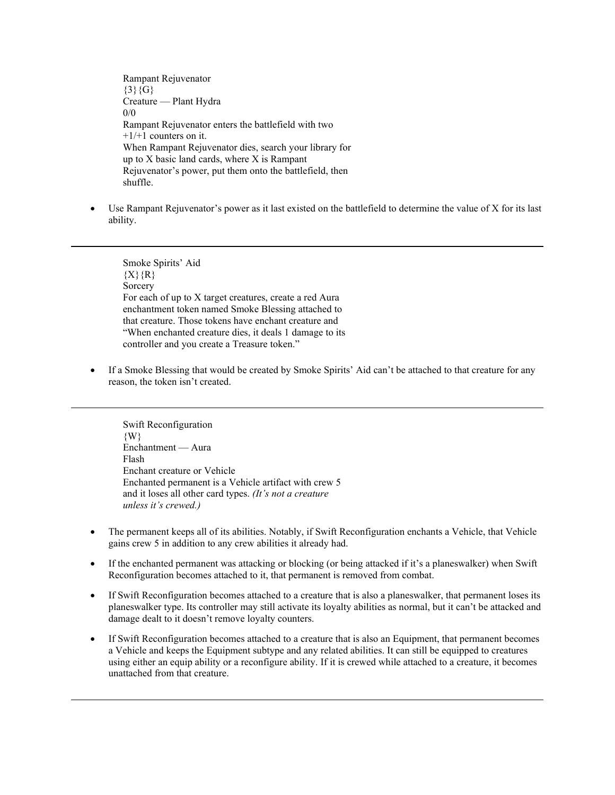Rampant Rejuvenator  ${3}{6}$ Creature — Plant Hydra 0/0 Rampant Rejuvenator enters the battlefield with two  $+1/+1$  counters on it. When Rampant Rejuvenator dies, search your library for up to X basic land cards, where X is Rampant Rejuvenator's power, put them onto the battlefield, then shuffle.

Use Rampant Rejuvenator's power as it last existed on the battlefield to determine the value of X for its last ability.

Smoke Spirits' Aid  ${X}{R}$ Sorcery For each of up to X target creatures, create a red Aura enchantment token named Smoke Blessing attached to that creature. Those tokens have enchant creature and "When enchanted creature dies, it deals 1 damage to its controller and you create a Treasure token."

• If a Smoke Blessing that would be created by Smoke Spirits' Aid can't be attached to that creature for any reason, the token isn't created.

Swift Reconfiguration  $\{W\}$ Enchantment — Aura Flash Enchant creature or Vehicle Enchanted permanent is a Vehicle artifact with crew 5 and it loses all other card types. *(It's not a creature unless it's crewed.)*

- The permanent keeps all of its abilities. Notably, if Swift Reconfiguration enchants a Vehicle, that Vehicle gains crew 5 in addition to any crew abilities it already had.
- If the enchanted permanent was attacking or blocking (or being attacked if it's a planeswalker) when Swift Reconfiguration becomes attached to it, that permanent is removed from combat.
- If Swift Reconfiguration becomes attached to a creature that is also a planeswalker, that permanent loses its planeswalker type. Its controller may still activate its loyalty abilities as normal, but it can't be attacked and damage dealt to it doesn't remove loyalty counters.
- If Swift Reconfiguration becomes attached to a creature that is also an Equipment, that permanent becomes a Vehicle and keeps the Equipment subtype and any related abilities. It can still be equipped to creatures using either an equip ability or a reconfigure ability. If it is crewed while attached to a creature, it becomes unattached from that creature.